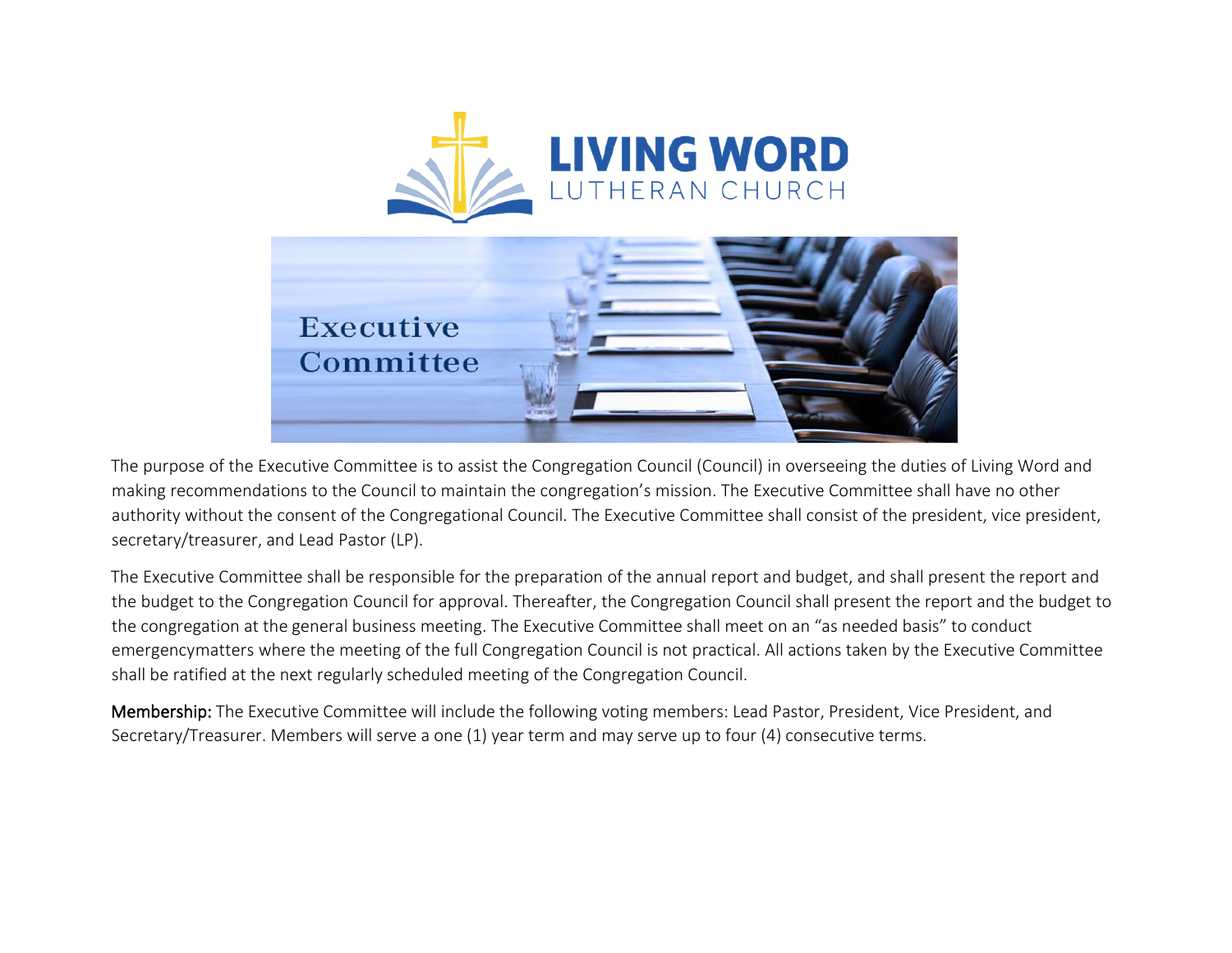

The purpose of the Executive Committee is to assist the Congregation Council (Council) in overseeing the duties of Living Word and making recommendations to the Council to maintain the congregation's mission. The Executive Committee shall have no other authority without the consent of the Congregational Council. The Executive Committee shall consist of the president, vice president, secretary/treasurer, and Lead Pastor (LP).

The Executive Committee shall be responsible for the preparation of the annual report and budget, and shall present the report and the budget to the Congregation Council for approval. Thereafter, the Congregation Council shall present the report and the budget to the congregation at the general business meeting. The Executive Committee shall meet on an "as needed basis" to conduct emergencymatters where the meeting of the full Congregation Council is not practical. All actions taken by the Executive Committee shall be ratified at the next regularly scheduled meeting of the Congregation Council.

Membership: The Executive Committee will include the following voting members: Lead Pastor, President, Vice President, and Secretary/Treasurer. Members will serve a one (1) year term and may serve up to four (4) consecutive terms.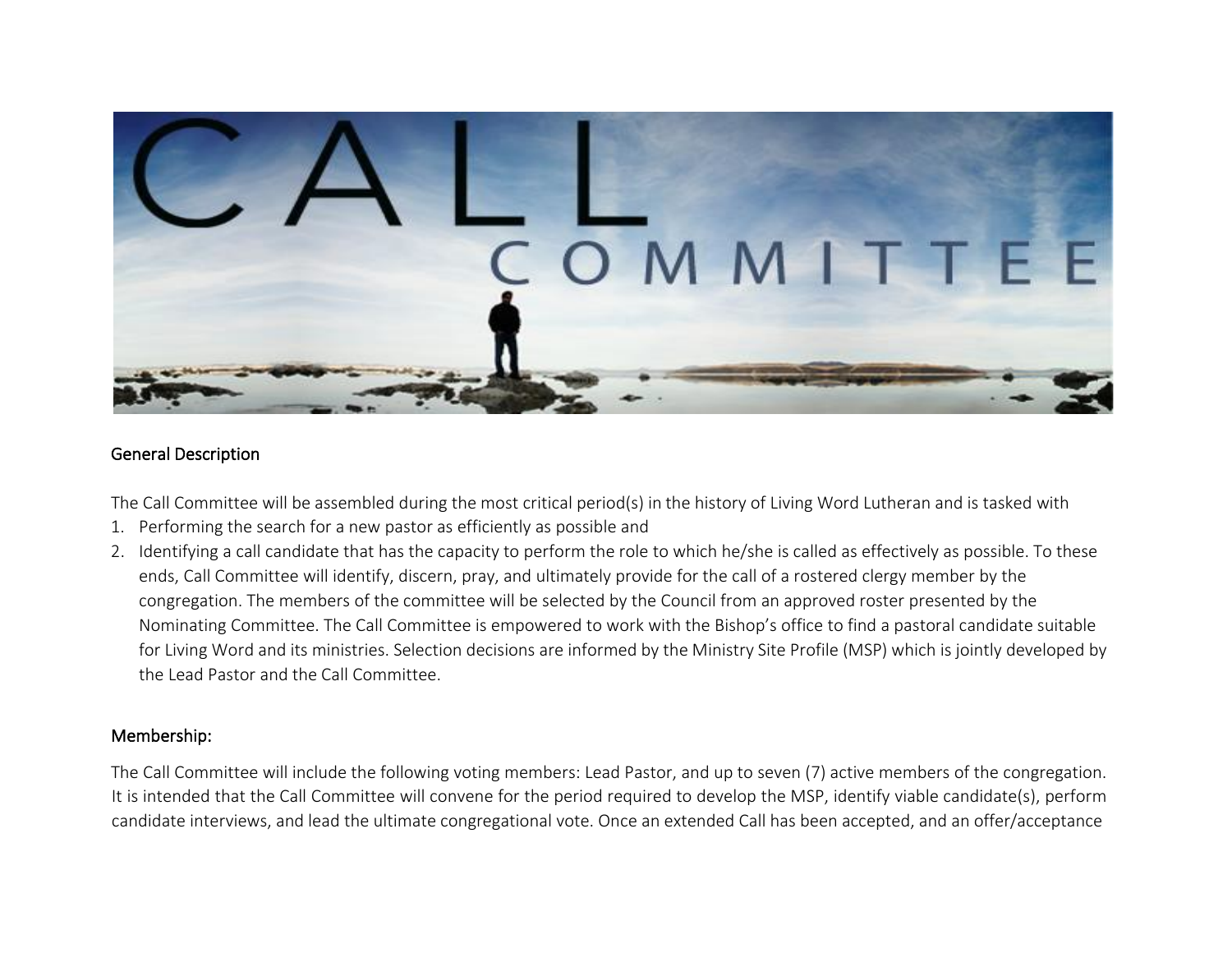

#### General Description

The Call Committee will be assembled during the most critical period(s) in the history of Living Word Lutheran and is tasked with

- 1. Performing the search for a new pastor as efficiently as possible and
- 2. Identifying a call candidate that has the capacity to perform the role to which he/she is called as effectively as possible. To these ends, Call Committee will identify, discern, pray, and ultimately provide for the call of a rostered clergy member by the congregation. The members of the committee will be selected by the Council from an approved roster presented by the Nominating Committee. The Call Committee is empowered to work with the Bishop's office to find a pastoral candidate suitable for Living Word and its ministries. Selection decisions are informed by the Ministry Site Profile (MSP) which is jointly developed by the Lead Pastor and the Call Committee.

#### Membership:

The Call Committee will include the following voting members: Lead Pastor, and up to seven (7) active members of the congregation. It is intended that the Call Committee will convene for the period required to develop the MSP, identify viable candidate(s), perform candidate interviews, and lead the ultimate congregational vote. Once an extended Call has been accepted, and an offer/acceptance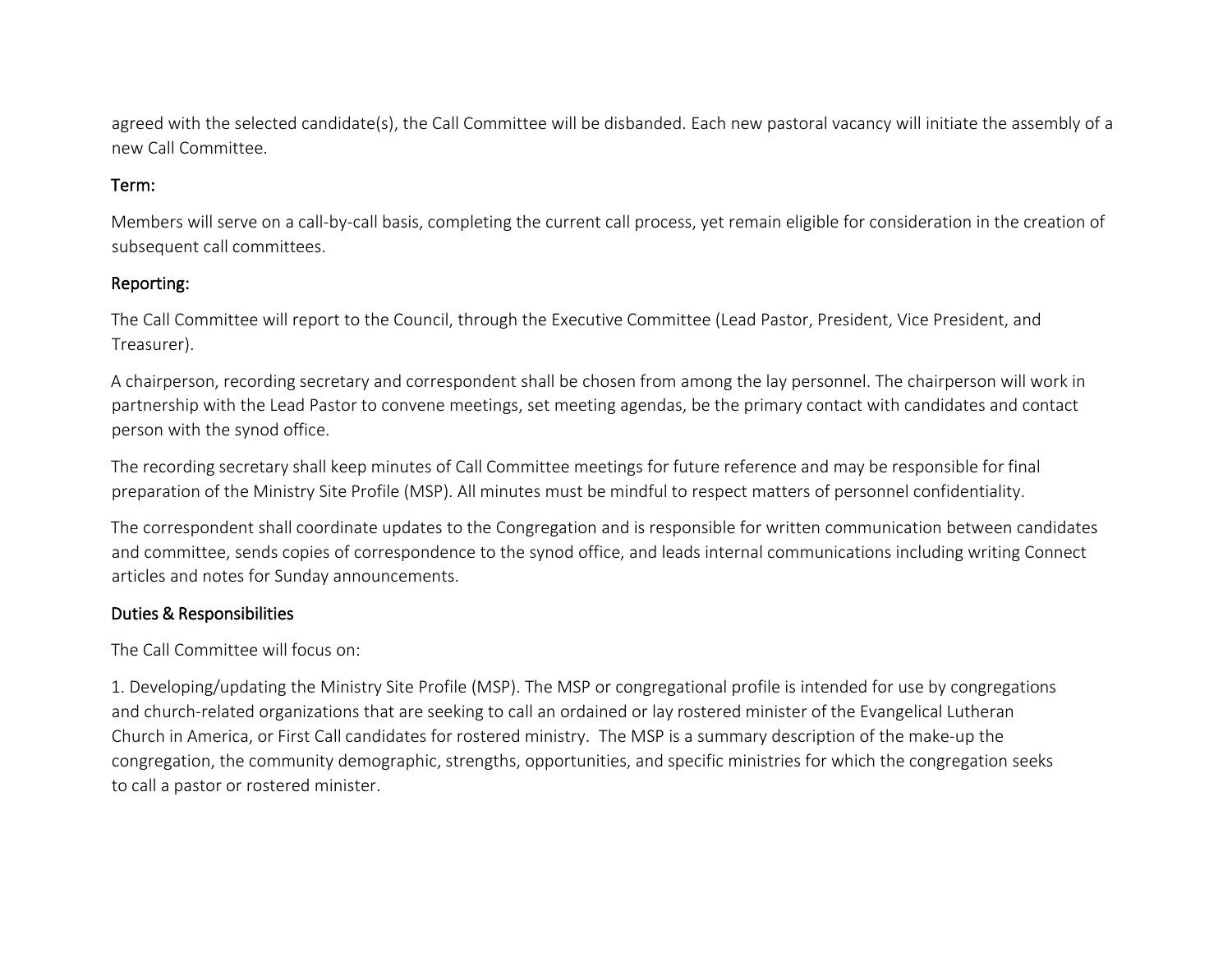agreed with the selected candidate(s), the Call Committee will be disbanded. Each new pastoral vacancy will initiate the assembly of a new Call Committee.

### Term:

Members will serve on a call-by-call basis, completing the current call process, yet remain eligible for consideration in the creation of subsequent call committees.

### Reporting:

The Call Committee will report to the Council, through the Executive Committee (Lead Pastor, President, Vice President, and Treasurer).

A chairperson, recording secretary and correspondent shall be chosen from among the lay personnel. The chairperson will work in partnership with the Lead Pastor to convene meetings, set meeting agendas, be the primary contact with candidates and contact person with the synod office.

The recording secretary shall keep minutes of Call Committee meetings for future reference and may be responsible for final preparation of the Ministry Site Profile (MSP). All minutes must be mindful to respect matters of personnel confidentiality.

The correspondent shall coordinate updates to the Congregation and is responsible for written communication between candidates and committee, sends copies of correspondence to the synod office, and leads internal communications including writing Connect articles and notes for Sunday announcements.

## Duties & Responsibilities

The Call Committee will focus on:

1. Developing/updating the Ministry Site Profile (MSP). The MSP or congregational profile is intended for use by congregations and church-related organizations that are seeking to call an ordained or lay rostered minister of the Evangelical Lutheran Church in America, or First Call candidates for rostered ministry. The MSP is a summary description of the make-up the congregation, the community demographic, strengths, opportunities, and specific ministries for which the congregation seeks to call a pastor or rostered minister.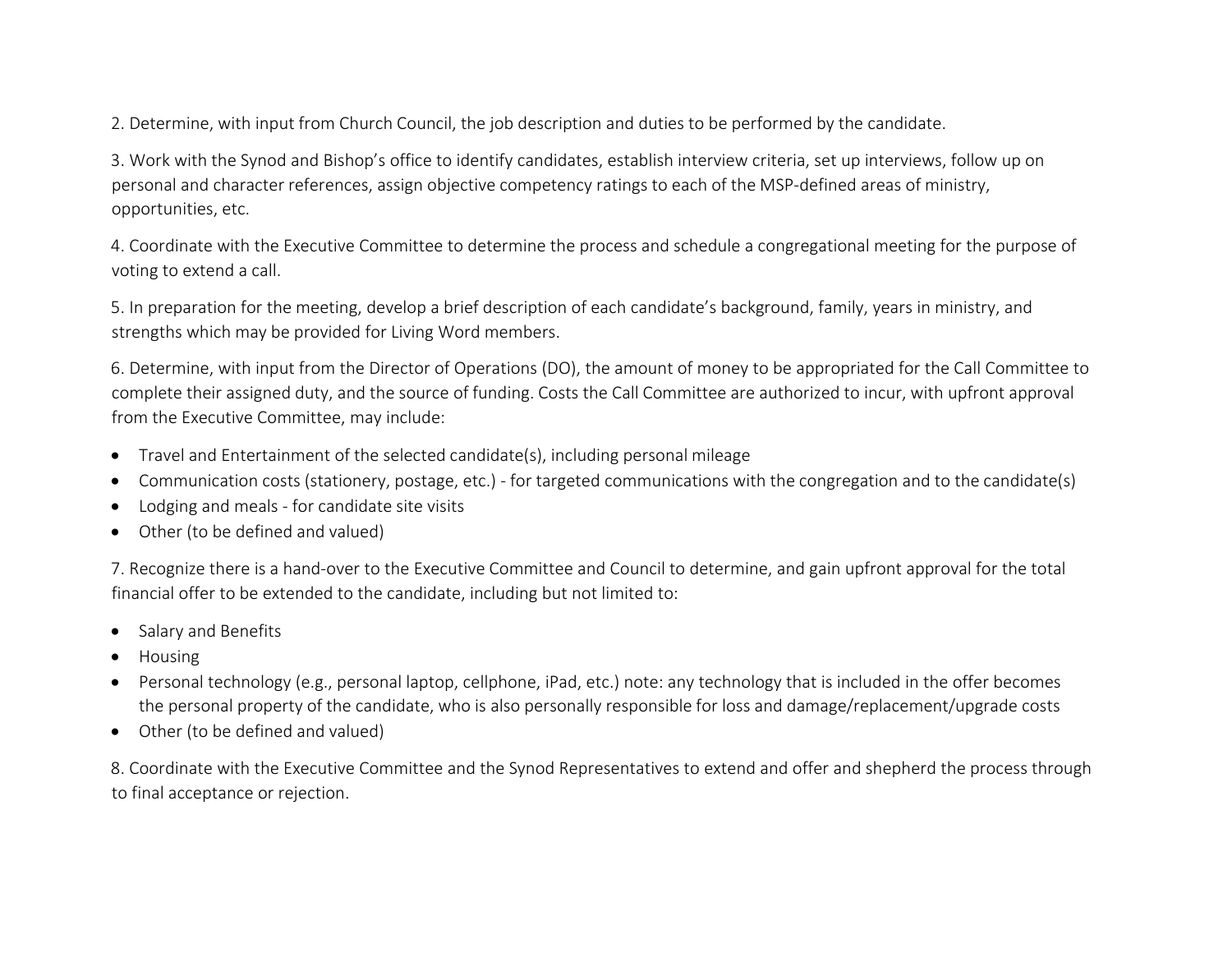2. Determine, with input from Church Council, the job description and duties to be performed by the candidate.

3. Work with the Synod and Bishop's office to identify candidates, establish interview criteria, set up interviews, follow up on personal and character references, assign objective competency ratings to each of the MSP-defined areas of ministry, opportunities, etc.

4. Coordinate with the Executive Committee to determine the process and schedule a congregational meeting for the purpose of voting to extend a call.

5. In preparation for the meeting, develop a brief description of each candidate's background, family, years in ministry, and strengths which may be provided for Living Word members.

6. Determine, with input from the Director of Operations (DO), the amount of money to be appropriated for the Call Committee to complete their assigned duty, and the source of funding. Costs the Call Committee are authorized to incur, with upfront approval from the Executive Committee, may include:

- Travel and Entertainment of the selected candidate(s), including personal mileage
- Communication costs (stationery, postage, etc.) for targeted communications with the congregation and to the candidate(s)
- Lodging and meals for candidate site visits
- Other (to be defined and valued)

7. Recognize there is a hand-over to the Executive Committee and Council to determine, and gain upfront approval for the total financial offer to be extended to the candidate, including but not limited to:

- Salary and Benefits
- Housing
- Personal technology (e.g., personal laptop, cellphone, iPad, etc.) note: any technology that is included in the offer becomes the personal property of the candidate, who is also personally responsible for loss and damage/replacement/upgrade costs
- Other (to be defined and valued)

8. Coordinate with the Executive Committee and the Synod Representatives to extend and offer and shepherd the process through to final acceptance or rejection.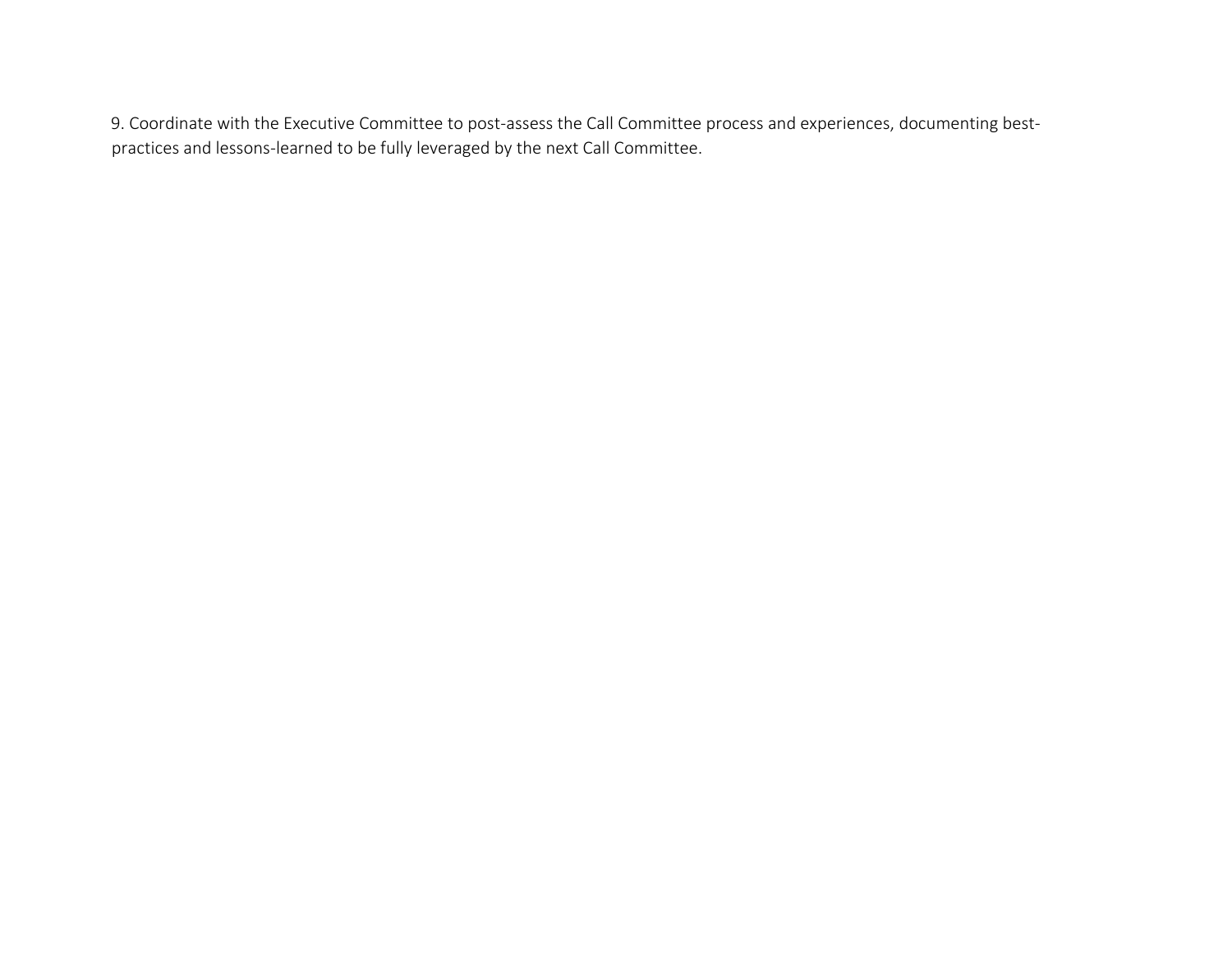9. Coordinate with the Executive Committee to post-assess the Call Committee process and experiences, documenting bestpractices and lessons-learned to be fully leveraged by the next Call Committee.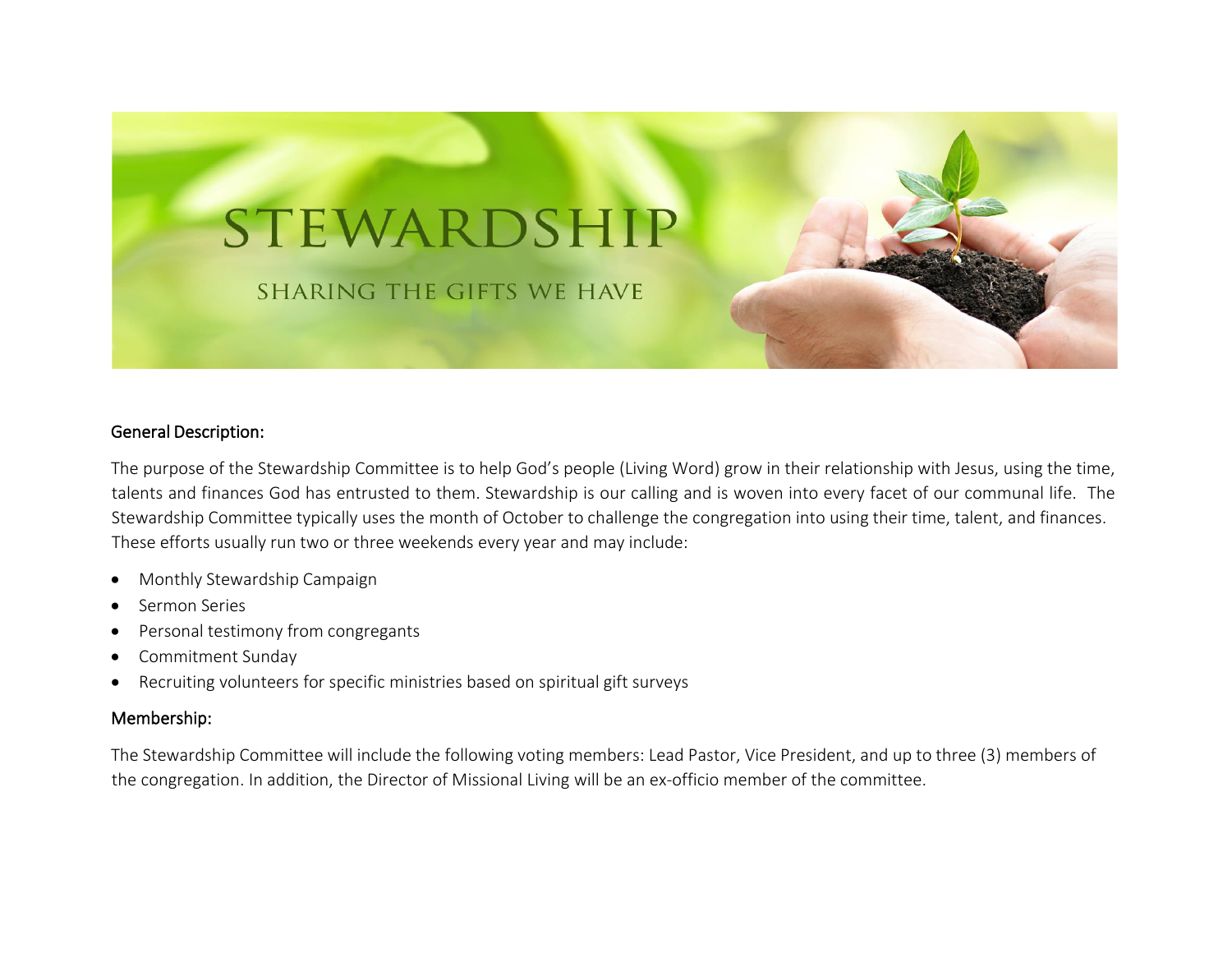

#### General Description:

The purpose of the Stewardship Committee is to help God's people (Living Word) grow in their relationship with Jesus, using the time, talents and finances God has entrusted to them. Stewardship is our calling and is woven into every facet of our communal life. The Stewardship Committee typically uses the month of October to challenge the congregation into using their time, talent, and finances. These efforts usually run two or three weekends every year and may include:

- Monthly Stewardship Campaign
- Sermon Series
- Personal testimony from congregants
- Commitment Sunday
- Recruiting volunteers for specific ministries based on spiritual gift surveys

#### Membership:

The Stewardship Committee will include the following voting members: Lead Pastor, Vice President, and up to three (3) members of the congregation. In addition, the Director of Missional Living will be an ex-officio member of the committee.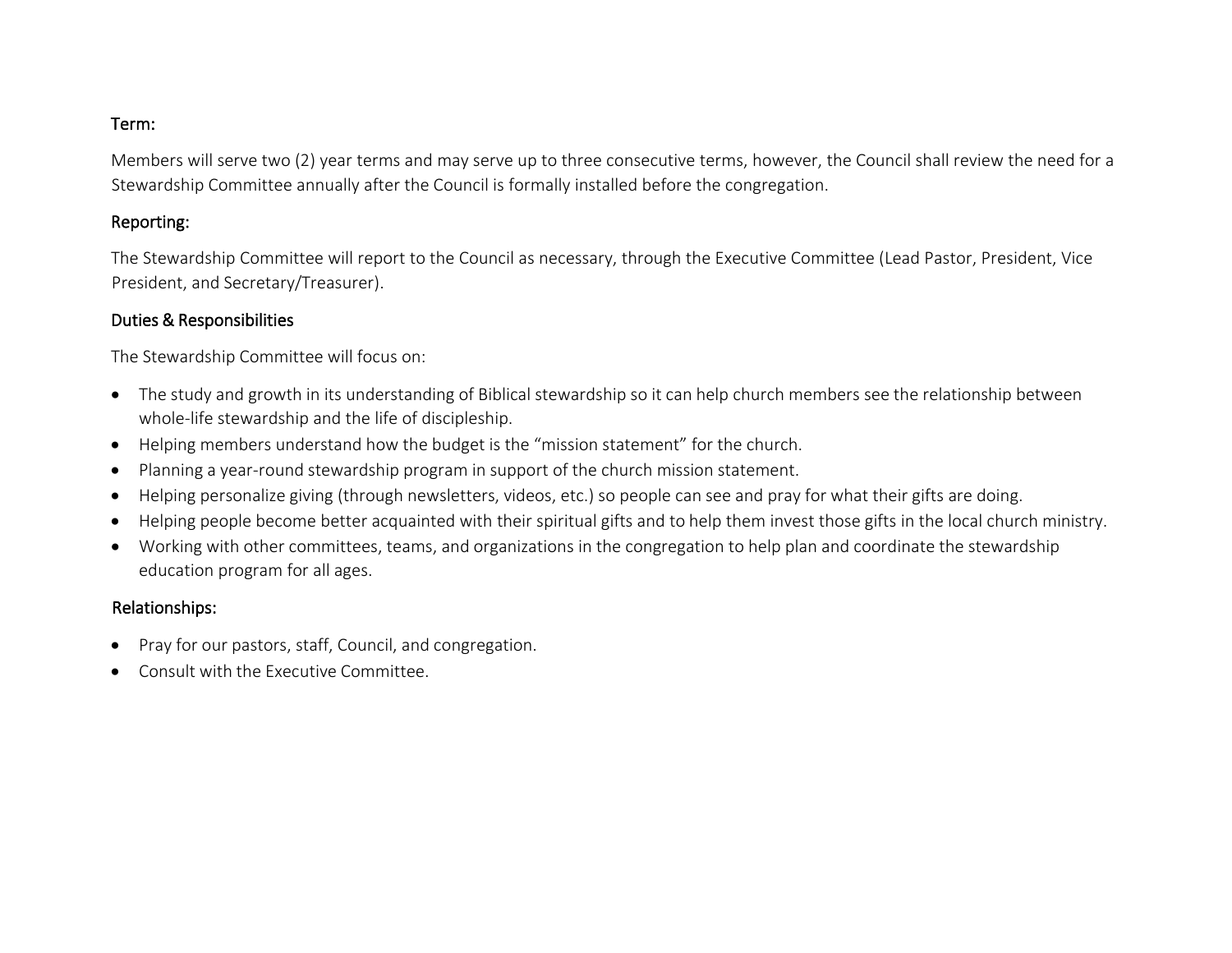#### Term:

Members will serve two (2) year terms and may serve up to three consecutive terms, however, the Council shall review the need for a Stewardship Committee annually after the Council is formally installed before the congregation.

#### Reporting:

The Stewardship Committee will report to the Council as necessary, through the Executive Committee (Lead Pastor, President, Vice President, and Secretary/Treasurer).

#### Duties & Responsibilities

The Stewardship Committee will focus on:

- The study and growth in its understanding of Biblical stewardship so it can help church members see the relationship between whole-life stewardship and the life of discipleship.
- Helping members understand how the budget is the "mission statement" for the church.
- Planning a year-round stewardship program in support of the church mission statement.
- Helping personalize giving (through newsletters, videos, etc.) so people can see and pray for what their gifts are doing.
- Helping people become better acquainted with their spiritual gifts and to help them invest those gifts in the local church ministry.
- Working with other committees, teams, and organizations in the congregation to help plan and coordinate the stewardship education program for all ages.

#### Relationships:

- Pray for our pastors, staff, Council, and congregation.
- Consult with the Executive Committee.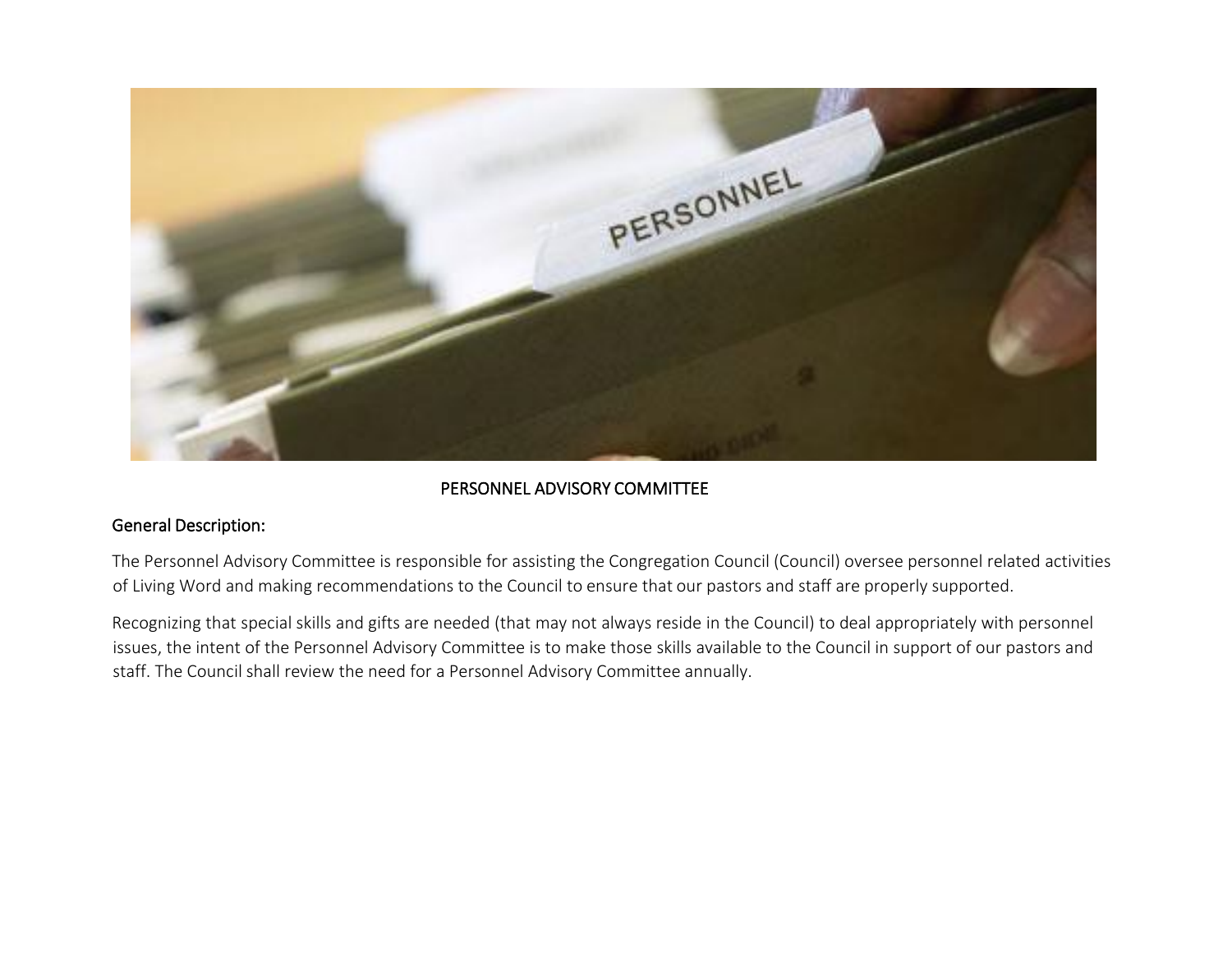

#### PERSONNEL ADVISORY COMMITTEE

#### General Description:

The Personnel Advisory Committee is responsible for assisting the Congregation Council (Council) oversee personnel related activities of Living Word and making recommendations to the Council to ensure that our pastors and staff are properly supported.

Recognizing that special skills and gifts are needed (that may not always reside in the Council) to deal appropriately with personnel issues, the intent of the Personnel Advisory Committee is to make those skills available to the Council in support of our pastors and staff. The Council shall review the need for a Personnel Advisory Committee annually.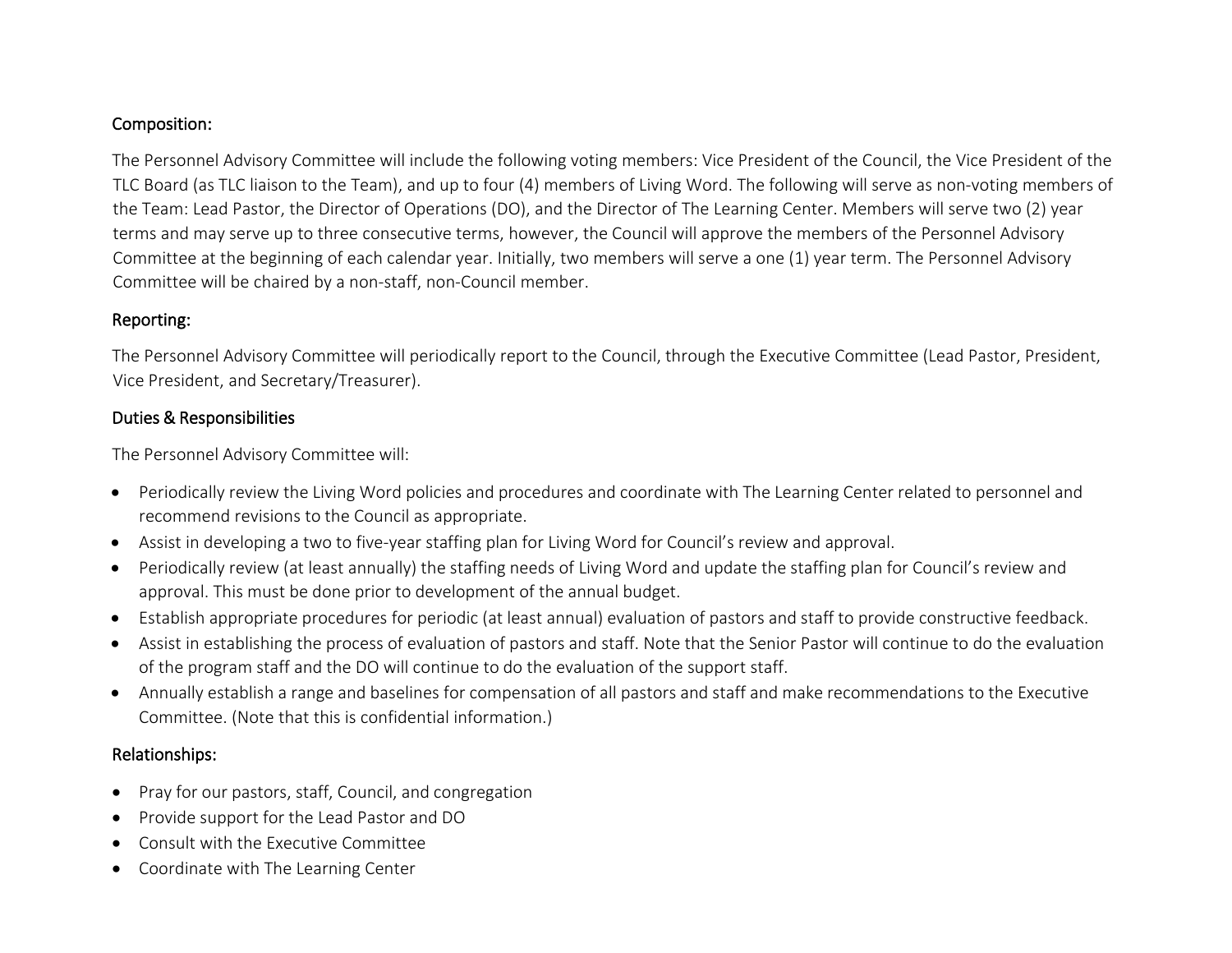# Composition:

The Personnel Advisory Committee will include the following voting members: Vice President of the Council, the Vice President of the TLC Board (as TLC liaison to the Team), and up to four (4) members of Living Word. The following will serve as non-voting members of the Team: Lead Pastor, the Director of Operations (DO), and the Director of The Learning Center. Members will serve two (2) year terms and may serve up to three consecutive terms, however, the Council will approve the members of the Personnel Advisory Committee at the beginning of each calendar year. Initially, two members will serve a one (1) year term. The Personnel Advisory Committee will be chaired by a non-staff, non-Council member.

### Reporting:

The Personnel Advisory Committee will periodically report to the Council, through the Executive Committee (Lead Pastor, President, Vice President, and Secretary/Treasurer).

### Duties & Responsibilities

The Personnel Advisory Committee will:

- Periodically review the Living Word policies and procedures and coordinate with The Learning Center related to personnel and recommend revisions to the Council as appropriate.
- Assist in developing a two to five-year staffing plan for Living Word for Council's review and approval.
- Periodically review (at least annually) the staffing needs of Living Word and update the staffing plan for Council's review and approval. This must be done prior to development of the annual budget.
- Establish appropriate procedures for periodic (at least annual) evaluation of pastors and staff to provide constructive feedback.
- Assist in establishing the process of evaluation of pastors and staff. Note that the Senior Pastor will continue to do the evaluation of the program staff and the DO will continue to do the evaluation of the support staff.
- Annually establish a range and baselines for compensation of all pastors and staff and make recommendations to the Executive Committee. (Note that this is confidential information.)

## Relationships:

- Pray for our pastors, staff, Council, and congregation
- Provide support for the Lead Pastor and DO
- Consult with the Executive Committee
- Coordinate with The Learning Center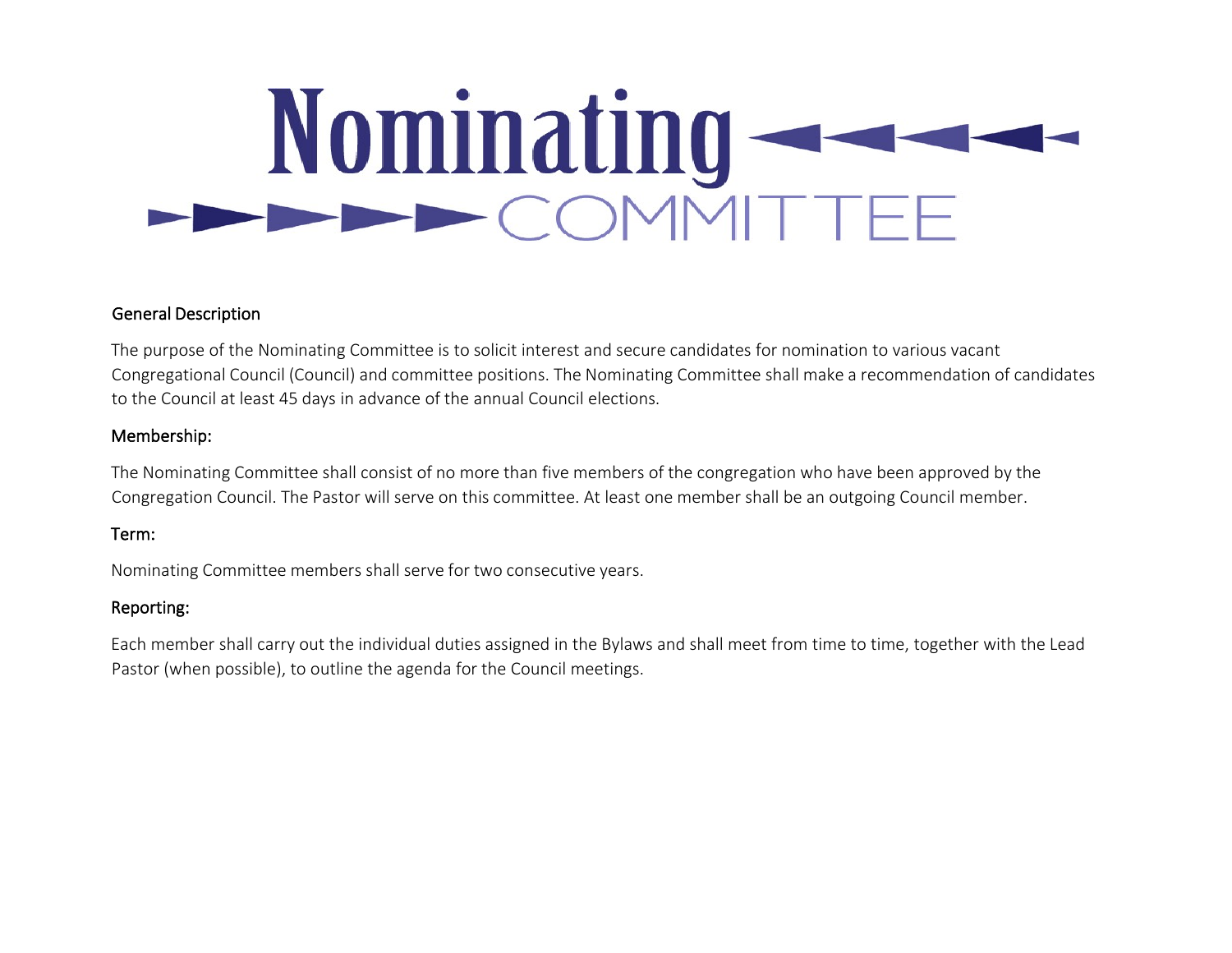# Nominating

## General Description

The purpose of the Nominating Committee is to solicit interest and secure candidates for nomination to various vacant Congregational Council (Council) and committee positions. The Nominating Committee shall make a recommendation of candidates to the Council at least 45 days in advance of the annual Council elections.

# Membership:

The Nominating Committee shall consist of no more than five members of the congregation who have been approved by the Congregation Council. The Pastor will serve on this committee. At least one member shall be an outgoing Council member.

## Term:

Nominating Committee members shall serve for two consecutive years.

## Reporting:

Each member shall carry out the individual duties assigned in the Bylaws and shall meet from time to time, together with the Lead Pastor (when possible), to outline the agenda for the Council meetings.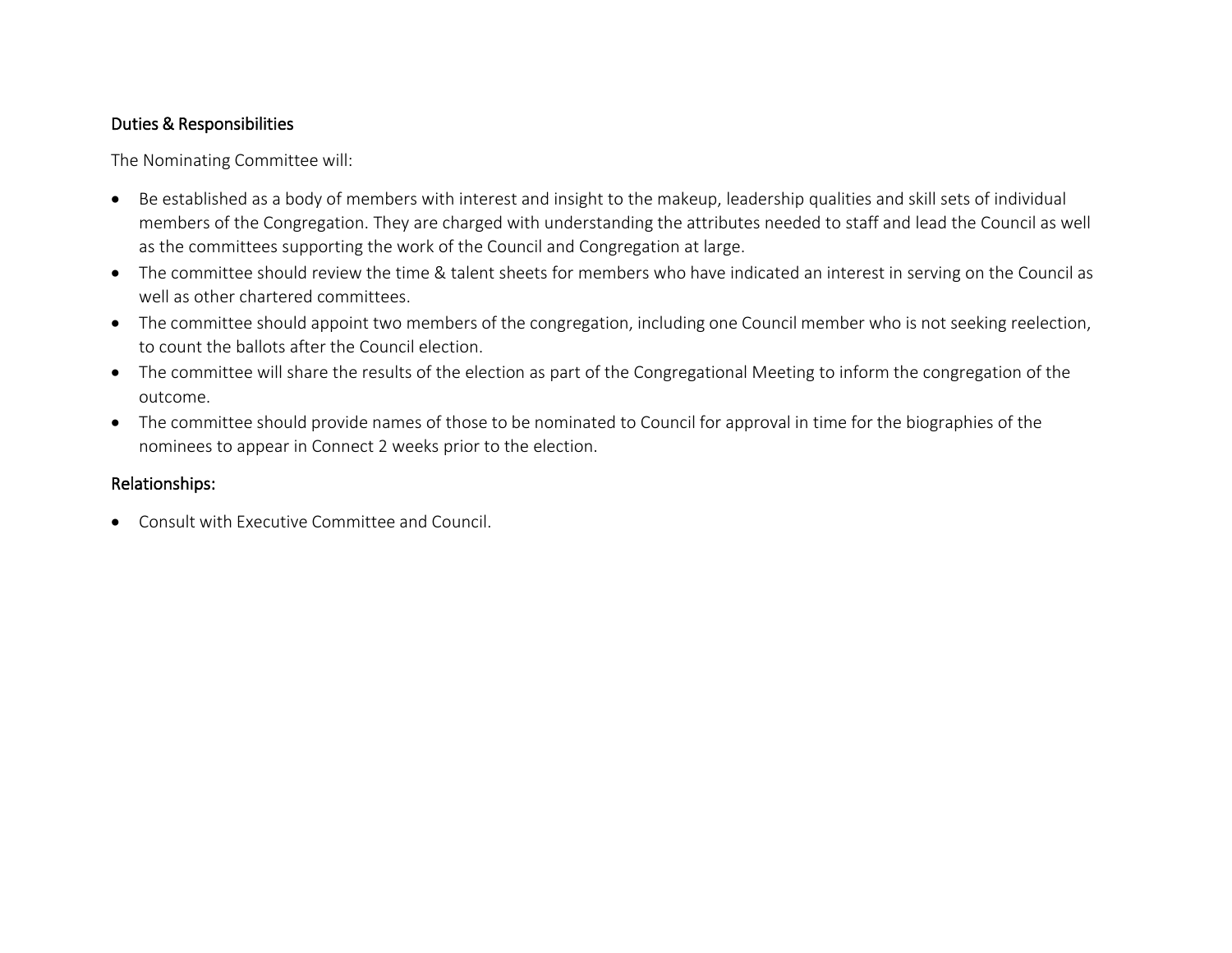## Duties & Responsibilities

The Nominating Committee will:

- Be established as a body of members with interest and insight to the makeup, leadership qualities and skill sets of individual members of the Congregation. They are charged with understanding the attributes needed to staff and lead the Council as well as the committees supporting the work of the Council and Congregation at large.
- The committee should review the time & talent sheets for members who have indicated an interest in serving on the Council as well as other chartered committees.
- The committee should appoint two members of the congregation, including one Council member who is not seeking reelection, to count the ballots after the Council election.
- The committee will share the results of the election as part of the Congregational Meeting to inform the congregation of the outcome.
- The committee should provide names of those to be nominated to Council for approval in time for the biographies of the nominees to appear in Connect 2 weeks prior to the election.

# Relationships:

• Consult with Executive Committee and Council.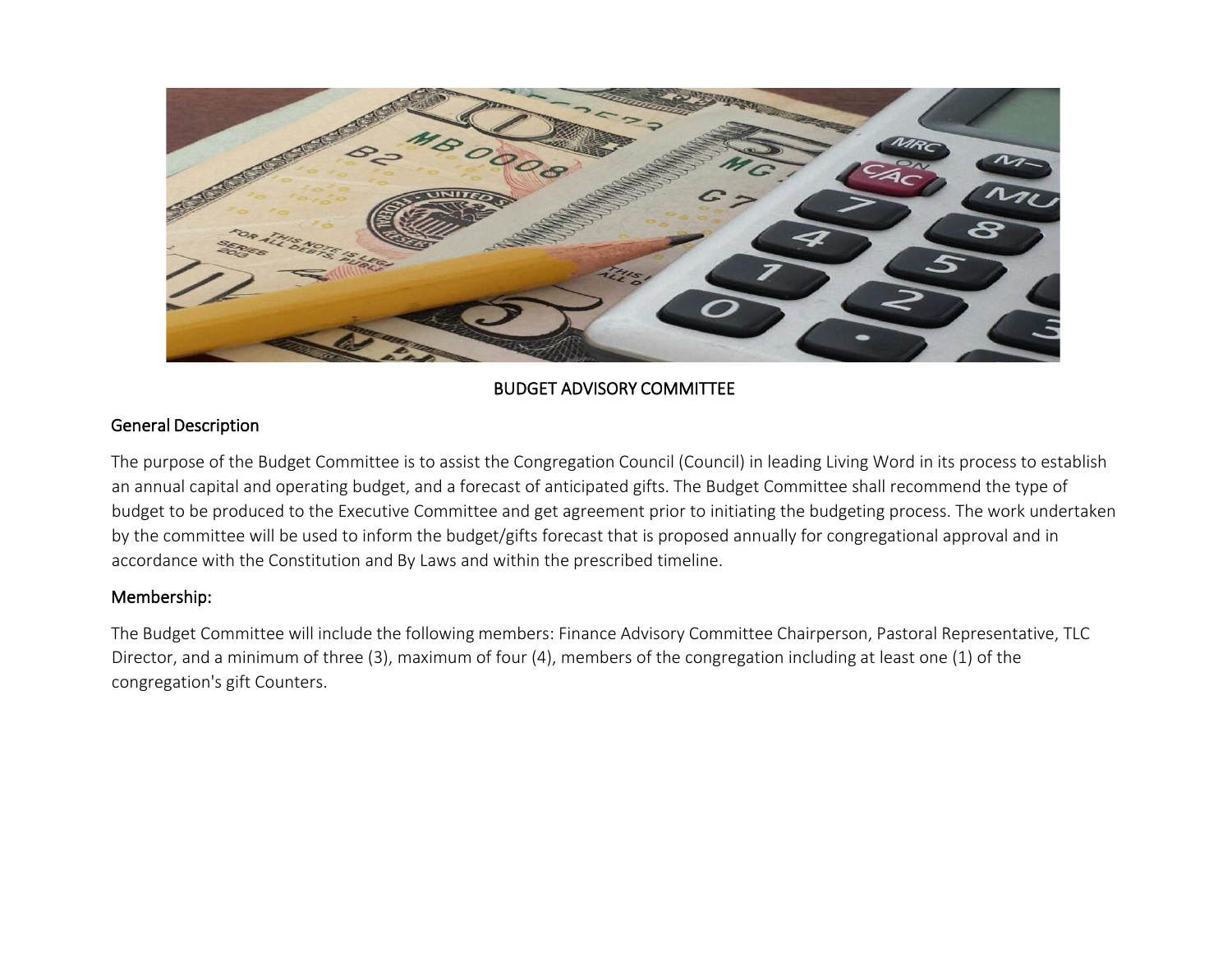

# BUDGET ADVISORY COMMITTEE

### General Description

The purpose of the Budget Committee is to assist the Congregation Council (Council) in leading Living Word in its process to establish an annual capital and operating budget, and a forecast of anticipated gifts. The Budget Committee shall recommend the type of budget to be produced to the Executive Committee and get agreement prior to initiating the budgeting process. The work undertaken by the committee will be used to inform the budget/gifts forecast that is proposed annually for congregational approval and in accordance with the Constitution and By Laws and within the prescribed timeline.

## Membership:

The Budget Committee will include the following members: Finance Advisory Committee Chairperson, Pastoral Representative, TLC Director, and a minimum of three (3), maximum of four (4), members of the congregation including at least one (1) of the congregation's gift Counters.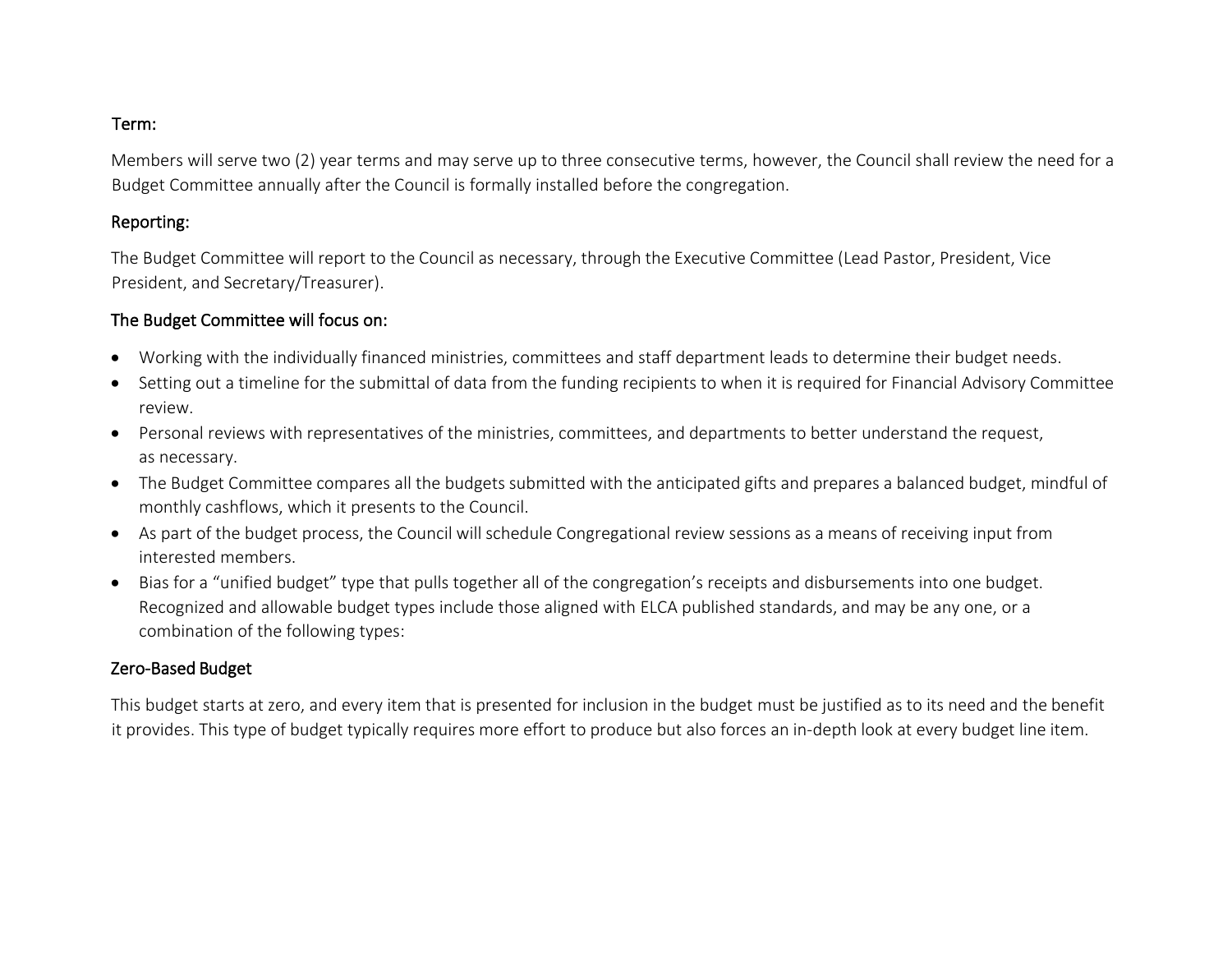#### Term:

Members will serve two (2) year terms and may serve up to three consecutive terms, however, the Council shall review the need for a Budget Committee annually after the Council is formally installed before the congregation.

#### Reporting:

The Budget Committee will report to the Council as necessary, through the Executive Committee (Lead Pastor, President, Vice President, and Secretary/Treasurer).

### The Budget Committee will focus on:

- Working with the individually financed ministries, committees and staff department leads to determine their budget needs.
- Setting out a timeline for the submittal of data from the funding recipients to when it is required for Financial Advisory Committee review.
- Personal reviews with representatives of the ministries, committees, and departments to better understand the request, as necessary.
- The Budget Committee compares all the budgets submitted with the anticipated gifts and prepares a balanced budget, mindful of monthly cashflows, which it presents to the Council.
- As part of the budget process, the Council will schedule Congregational review sessions as a means of receiving input from interested members.
- Bias for a "unified budget" type that pulls together all of the congregation's receipts and disbursements into one budget. Recognized and allowable budget types include those aligned with ELCA published standards, and may be any one, or a combination of the following types:

## Zero-Based Budget

This budget starts at zero, and every item that is presented for inclusion in the budget must be justified as to its need and the benefit it provides. This type of budget typically requires more effort to produce but also forces an in-depth look at every budget line item.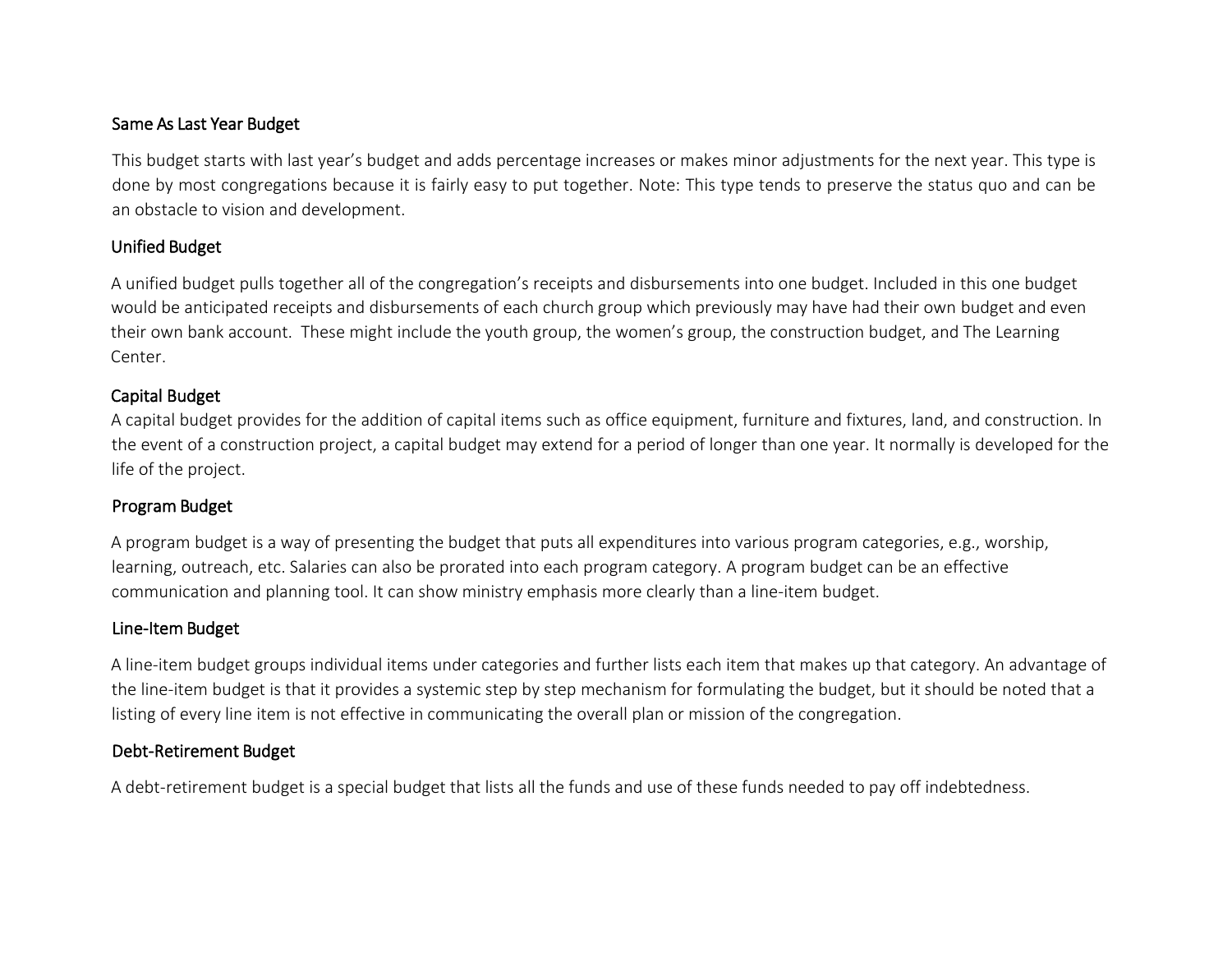### Same As Last Year Budget

This budget starts with last year's budget and adds percentage increases or makes minor adjustments for the next year. This type is done by most congregations because it is fairly easy to put together. Note: This type tends to preserve the status quo and can be an obstacle to vision and development.

#### Unified Budget

A unified budget pulls together all of the congregation's receipts and disbursements into one budget. Included in this one budget would be anticipated receipts and disbursements of each church group which previously may have had their own budget and even their own bank account. These might include the youth group, the women's group, the construction budget, and The Learning Center.

#### Capital Budget

A capital budget provides for the addition of capital items such as office equipment, furniture and fixtures, land, and construction. In the event of a construction project, a capital budget may extend for a period of longer than one year. It normally is developed for the life of the project.

## Program Budget

A program budget is a way of presenting the budget that puts all expenditures into various program categories, e.g., worship, learning, outreach, etc. Salaries can also be prorated into each program category. A program budget can be an effective communication and planning tool. It can show ministry emphasis more clearly than a line-item budget.

# Line-Item Budget

A line-item budget groups individual items under categories and further lists each item that makes up that category. An advantage of the line-item budget is that it provides a systemic step by step mechanism for formulating the budget, but it should be noted that a listing of every line item is not effective in communicating the overall plan or mission of the congregation.

# Debt-Retirement Budget

A debt-retirement budget is a special budget that lists all the funds and use of these funds needed to pay off indebtedness.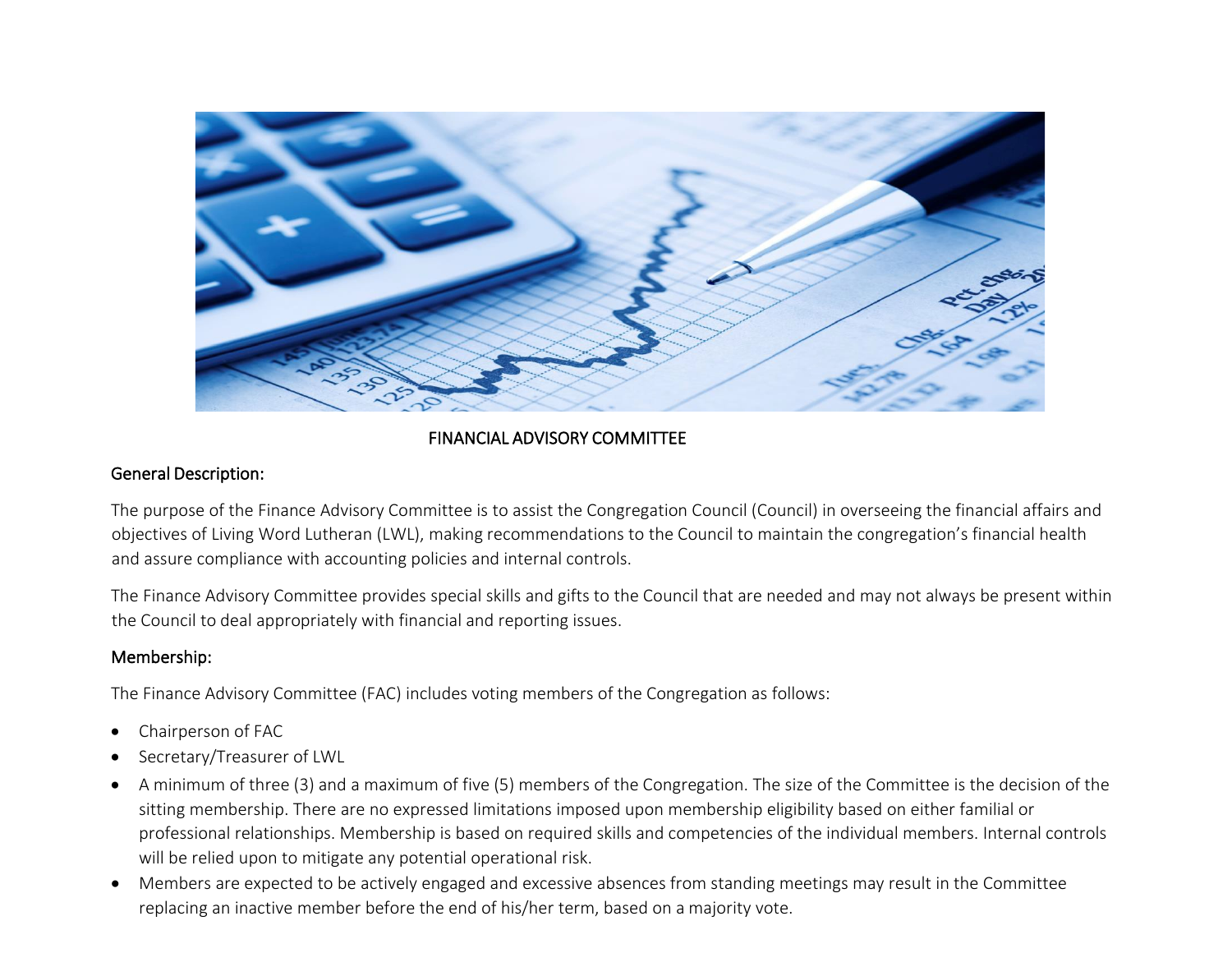

### FINANCIAL ADVISORY COMMITTEE

#### General Description:

The purpose of the Finance Advisory Committee is to assist the Congregation Council (Council) in overseeing the financial affairs and objectives of Living Word Lutheran (LWL), making recommendations to the Council to maintain the congregation's financial health and assure compliance with accounting policies and internal controls.

The Finance Advisory Committee provides special skills and gifts to the Council that are needed and may not always be present within the Council to deal appropriately with financial and reporting issues.

#### Membership:

The Finance Advisory Committee (FAC) includes voting members of the Congregation as follows:

- Chairperson of FAC
- Secretary/Treasurer of LWL
- A minimum of three (3) and a maximum of five (5) members of the Congregation. The size of the Committee is the decision of the sitting membership. There are no expressed limitations imposed upon membership eligibility based on either familial or professional relationships. Membership is based on required skills and competencies of the individual members. Internal controls will be relied upon to mitigate any potential operational risk.
- Members are expected to be actively engaged and excessive absences from standing meetings may result in the Committee replacing an inactive member before the end of his/her term, based on a majority vote.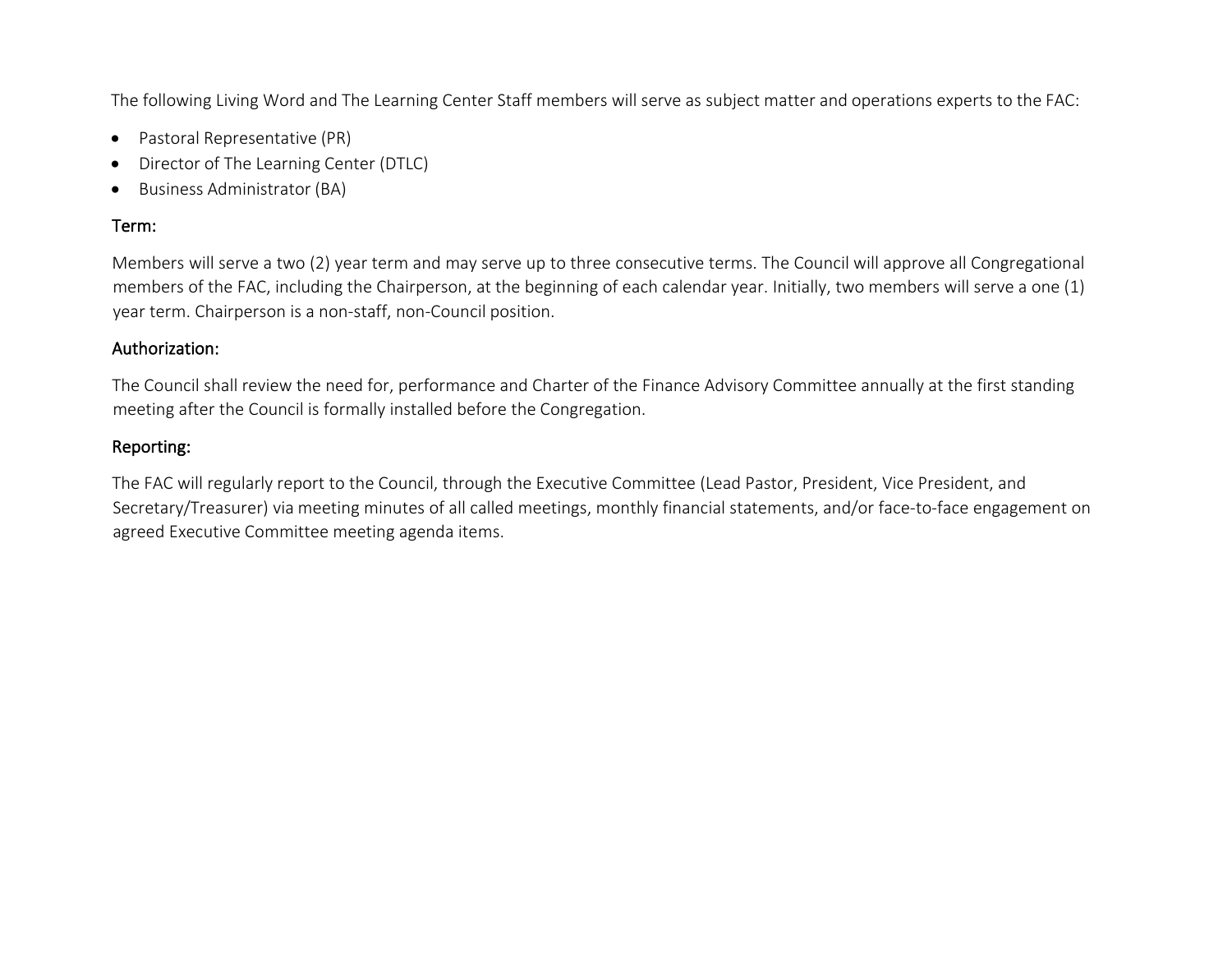The following Living Word and The Learning Center Staff members will serve as subject matter and operations experts to the FAC:

- Pastoral Representative (PR)
- Director of The Learning Center (DTLC)
- Business Administrator (BA)

#### Term:

Members will serve a two (2) year term and may serve up to three consecutive terms. The Council will approve all Congregational members of the FAC, including the Chairperson, at the beginning of each calendar year. Initially, two members will serve a one (1) year term. Chairperson is a non-staff, non-Council position.

#### Authorization:

The Council shall review the need for, performance and Charter of the Finance Advisory Committee annually at the first standing meeting after the Council is formally installed before the Congregation.

#### Reporting:

The FAC will regularly report to the Council, through the Executive Committee (Lead Pastor, President, Vice President, and Secretary/Treasurer) via meeting minutes of all called meetings, monthly financial statements, and/or face-to-face engagement on agreed Executive Committee meeting agenda items.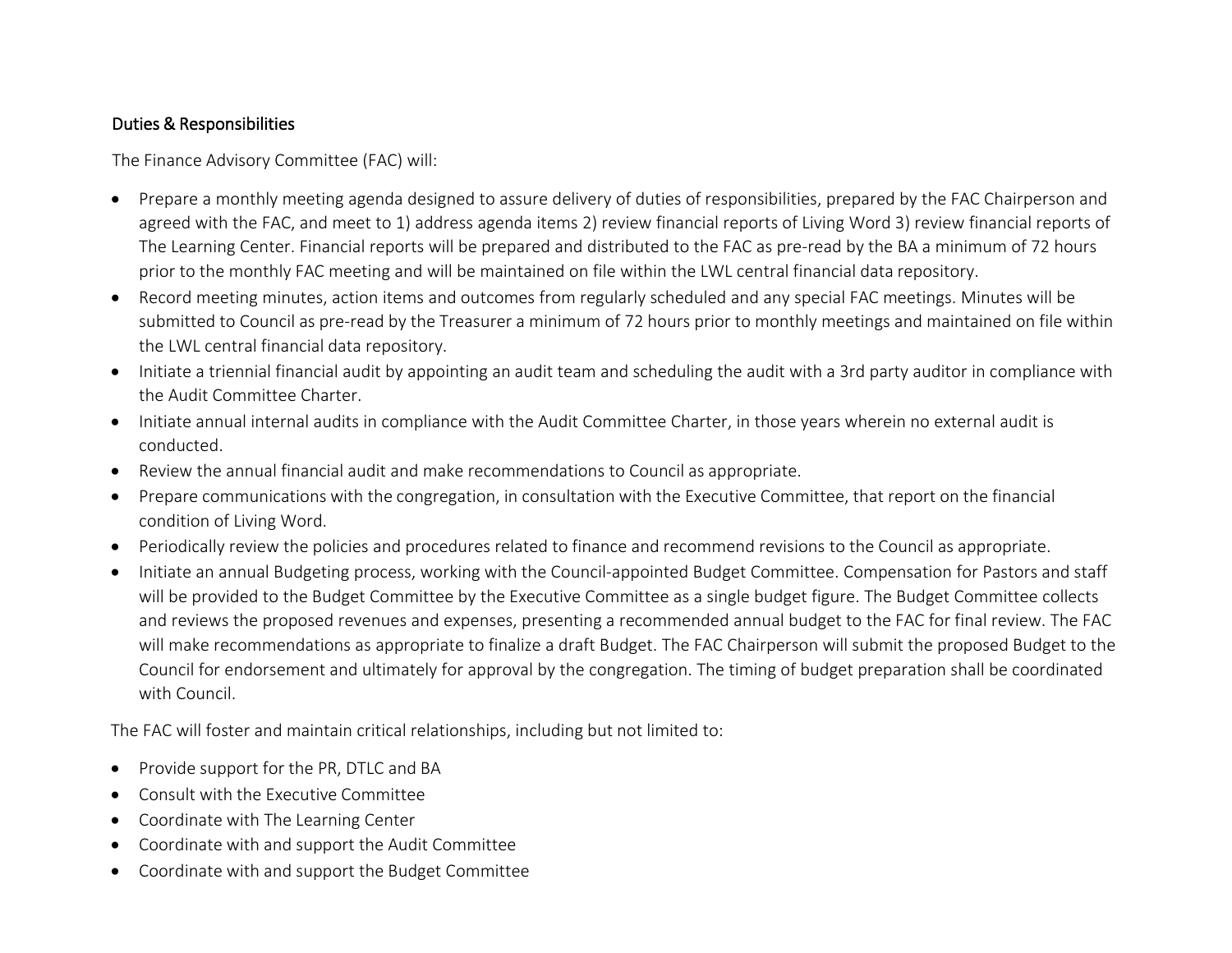# Duties & Responsibilities

The Finance Advisory Committee (FAC) will:

- Prepare a monthly meeting agenda designed to assure delivery of duties of responsibilities, prepared by the FAC Chairperson and agreed with the FAC, and meet to 1) address agenda items 2) review financial reports of Living Word 3) review financial reports of The Learning Center. Financial reports will be prepared and distributed to the FAC as pre-read by the BA a minimum of 72 hours prior to the monthly FAC meeting and will be maintained on file within the LWL central financial data repository.
- Record meeting minutes, action items and outcomes from regularly scheduled and any special FAC meetings. Minutes will be submitted to Council as pre-read by the Treasurer a minimum of 72 hours prior to monthly meetings and maintained on file within the LWL central financial data repository.
- Initiate a triennial financial audit by appointing an audit team and scheduling the audit with a 3rd party auditor in compliance with the Audit Committee Charter.
- Initiate annual internal audits in compliance with the Audit Committee Charter, in those years wherein no external audit is conducted.
- Review the annual financial audit and make recommendations to Council as appropriate.
- Prepare communications with the congregation, in consultation with the Executive Committee, that report on the financial condition of Living Word.
- Periodically review the policies and procedures related to finance and recommend revisions to the Council as appropriate.
- Initiate an annual Budgeting process, working with the Council-appointed Budget Committee. Compensation for Pastors and staff will be provided to the Budget Committee by the Executive Committee as a single budget figure. The Budget Committee collects and reviews the proposed revenues and expenses, presenting a recommended annual budget to the FAC for final review. The FAC will make recommendations as appropriate to finalize a draft Budget. The FAC Chairperson will submit the proposed Budget to the Council for endorsement and ultimately for approval by the congregation. The timing of budget preparation shall be coordinated with Council.

The FAC will foster and maintain critical relationships, including but not limited to:

- Provide support for the PR, DTLC and BA
- Consult with the Executive Committee
- Coordinate with The Learning Center
- Coordinate with and support the Audit Committee
- Coordinate with and support the Budget Committee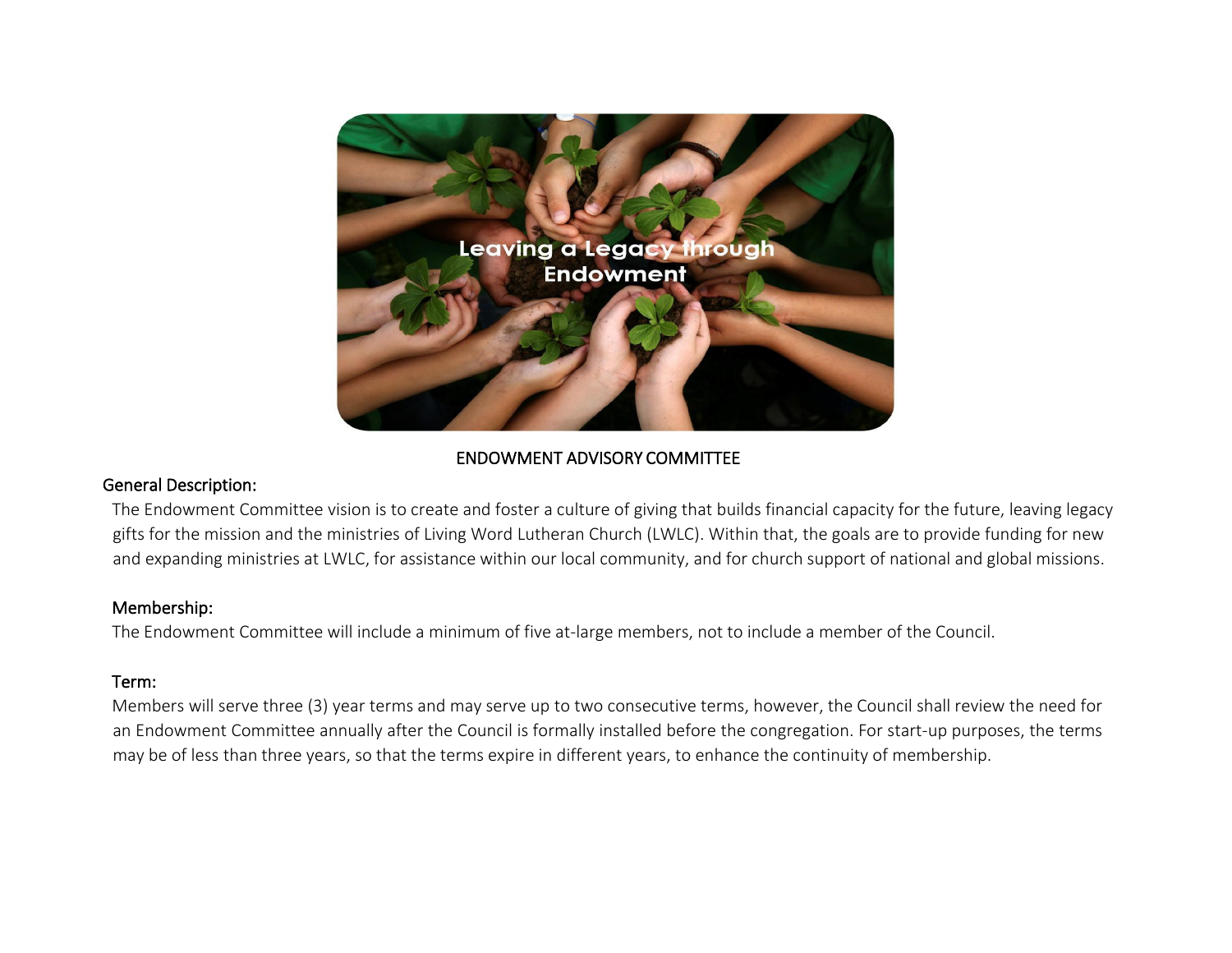

# ENDOWMENT ADVISORY COMMITTEE

#### General Description:

The Endowment Committee vision is to create and foster a culture of giving that builds financial capacity for the future, leaving legacy gifts for the mission and the ministries of Living Word Lutheran Church (LWLC). Within that, the goals are to provide funding for new and expanding ministries at LWLC, for assistance within our local community, and for church support of national and global missions.

#### Membership:

The Endowment Committee will include a minimum of five at-large members, not to include a member of the Council.

#### Term:

Members will serve three (3) year terms and may serve up to two consecutive terms, however, the Council shall review the need for an Endowment Committee annually after the Council is formally installed before the congregation. For start-up purposes, the terms may be of less than three years, so that the terms expire in different years, to enhance the continuity of membership.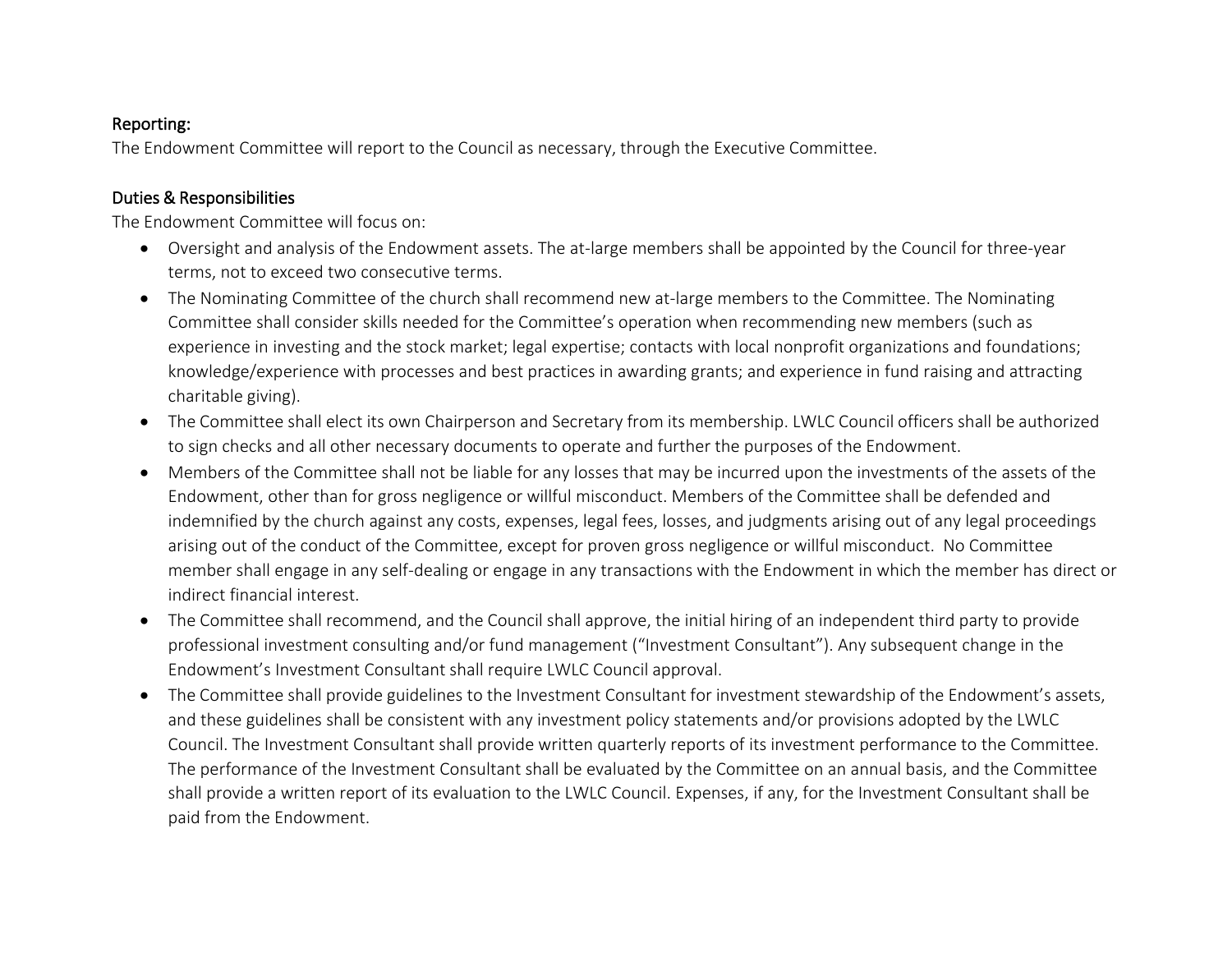#### Reporting:

The Endowment Committee will report to the Council as necessary, through the Executive Committee.

# Duties & Responsibilities

The Endowment Committee will focus on:

- Oversight and analysis of the Endowment assets. The at-large members shall be appointed by the Council for three-year terms, not to exceed two consecutive terms.
- The Nominating Committee of the church shall recommend new at-large members to the Committee. The Nominating Committee shall consider skills needed for the Committee's operation when recommending new members (such as experience in investing and the stock market; legal expertise; contacts with local nonprofit organizations and foundations; knowledge/experience with processes and best practices in awarding grants; and experience in fund raising and attracting charitable giving).
- The Committee shall elect its own Chairperson and Secretary from its membership. LWLC Council officers shall be authorized to sign checks and all other necessary documents to operate and further the purposes of the Endowment.
- Members of the Committee shall not be liable for any losses that may be incurred upon the investments of the assets of the Endowment, other than for gross negligence or willful misconduct. Members of the Committee shall be defended and indemnified by the church against any costs, expenses, legal fees, losses, and judgments arising out of any legal proceedings arising out of the conduct of the Committee, except for proven gross negligence or willful misconduct. No Committee member shall engage in any self-dealing or engage in any transactions with the Endowment in which the member has direct or indirect financial interest.
- The Committee shall recommend, and the Council shall approve, the initial hiring of an independent third party to provide professional investment consulting and/or fund management ("Investment Consultant"). Any subsequent change in the Endowment's Investment Consultant shall require LWLC Council approval.
- The Committee shall provide guidelines to the Investment Consultant for investment stewardship of the Endowment's assets, and these guidelines shall be consistent with any investment policy statements and/or provisions adopted by the LWLC Council. The Investment Consultant shall provide written quarterly reports of its investment performance to the Committee. The performance of the Investment Consultant shall be evaluated by the Committee on an annual basis, and the Committee shall provide a written report of its evaluation to the LWLC Council. Expenses, if any, for the Investment Consultant shall be paid from the Endowment.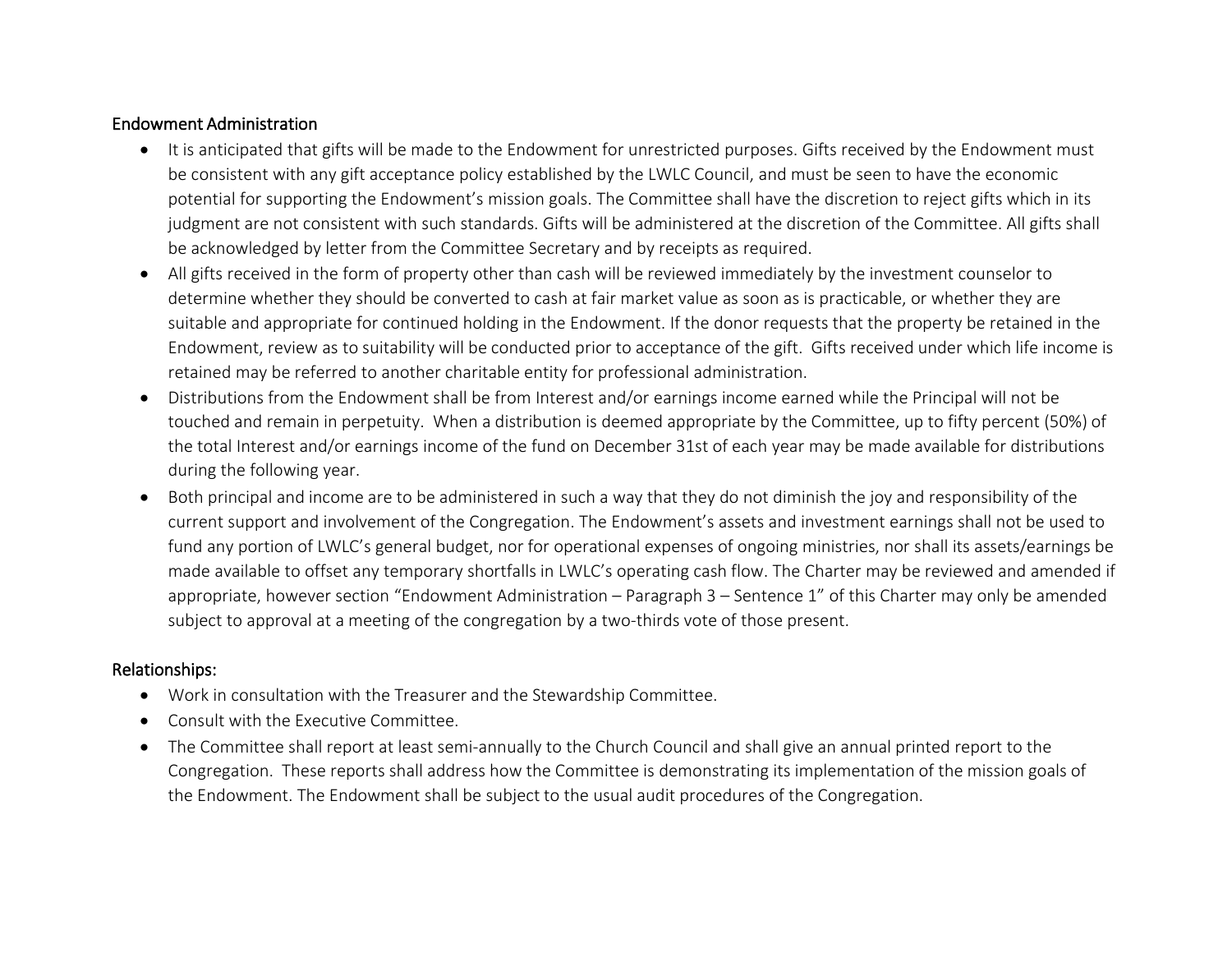#### Endowment Administration

- It is anticipated that gifts will be made to the Endowment for unrestricted purposes. Gifts received by the Endowment must be consistent with any gift acceptance policy established by the LWLC Council, and must be seen to have the economic potential for supporting the Endowment's mission goals. The Committee shall have the discretion to reject gifts which in its judgment are not consistent with such standards. Gifts will be administered at the discretion of the Committee. All gifts shall be acknowledged by letter from the Committee Secretary and by receipts as required.
- All gifts received in the form of property other than cash will be reviewed immediately by the investment counselor to determine whether they should be converted to cash at fair market value as soon as is practicable, or whether they are suitable and appropriate for continued holding in the Endowment. If the donor requests that the property be retained in the Endowment, review as to suitability will be conducted prior to acceptance of the gift. Gifts received under which life income is retained may be referred to another charitable entity for professional administration.
- Distributions from the Endowment shall be from Interest and/or earnings income earned while the Principal will not be touched and remain in perpetuity. When a distribution is deemed appropriate by the Committee, up to fifty percent (50%) of the total Interest and/or earnings income of the fund on December 31st of each year may be made available for distributions during the following year.
- Both principal and income are to be administered in such a way that they do not diminish the joy and responsibility of the current support and involvement of the Congregation. The Endowment's assets and investment earnings shall not be used to fund any portion of LWLC's general budget, nor for operational expenses of ongoing ministries, nor shall its assets/earnings be made available to offset any temporary shortfalls in LWLC's operating cash flow. The Charter may be reviewed and amended if appropriate, however section "Endowment Administration – Paragraph 3 – Sentence 1" of this Charter may only be amended subject to approval at a meeting of the congregation by a two-thirds vote of those present.

#### Relationships:

- Work in consultation with the Treasurer and the Stewardship Committee.
- Consult with the Executive Committee.
- The Committee shall report at least semi-annually to the Church Council and shall give an annual printed report to the Congregation. These reports shall address how the Committee is demonstrating its implementation of the mission goals of the Endowment. The Endowment shall be subject to the usual audit procedures of the Congregation.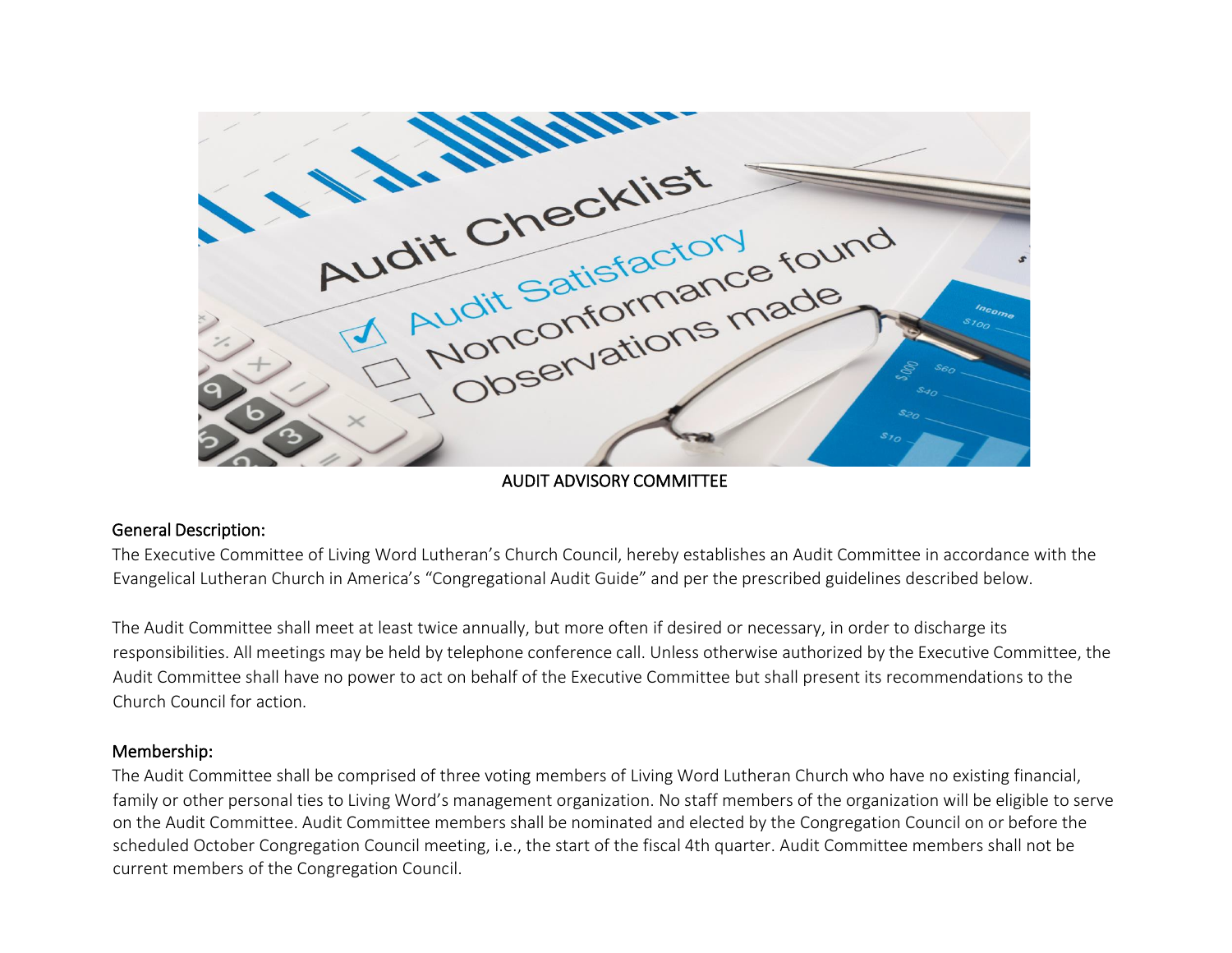

AUDIT ADVISORY COMMITTEE

#### General Description:

The Executive Committee of Living Word Lutheran's Church Council, hereby establishes an Audit Committee in accordance with the Evangelical Lutheran Church in America's "Congregational Audit Guide" and per the prescribed guidelines described below.

The Audit Committee shall meet at least twice annually, but more often if desired or necessary, in order to discharge its responsibilities. All meetings may be held by telephone conference call. Unless otherwise authorized by the Executive Committee, the Audit Committee shall have no power to act on behalf of the Executive Committee but shall present its recommendations to the Church Council for action.

#### Membership:

The Audit Committee shall be comprised of three voting members of Living Word Lutheran Church who have no existing financial, family or other personal ties to Living Word's management organization. No staff members of the organization will be eligible to serve on the Audit Committee. Audit Committee members shall be nominated and elected by the Congregation Council on or before the scheduled October Congregation Council meeting, i.e., the start of the fiscal 4th quarter. Audit Committee members shall not be current members of the Congregation Council.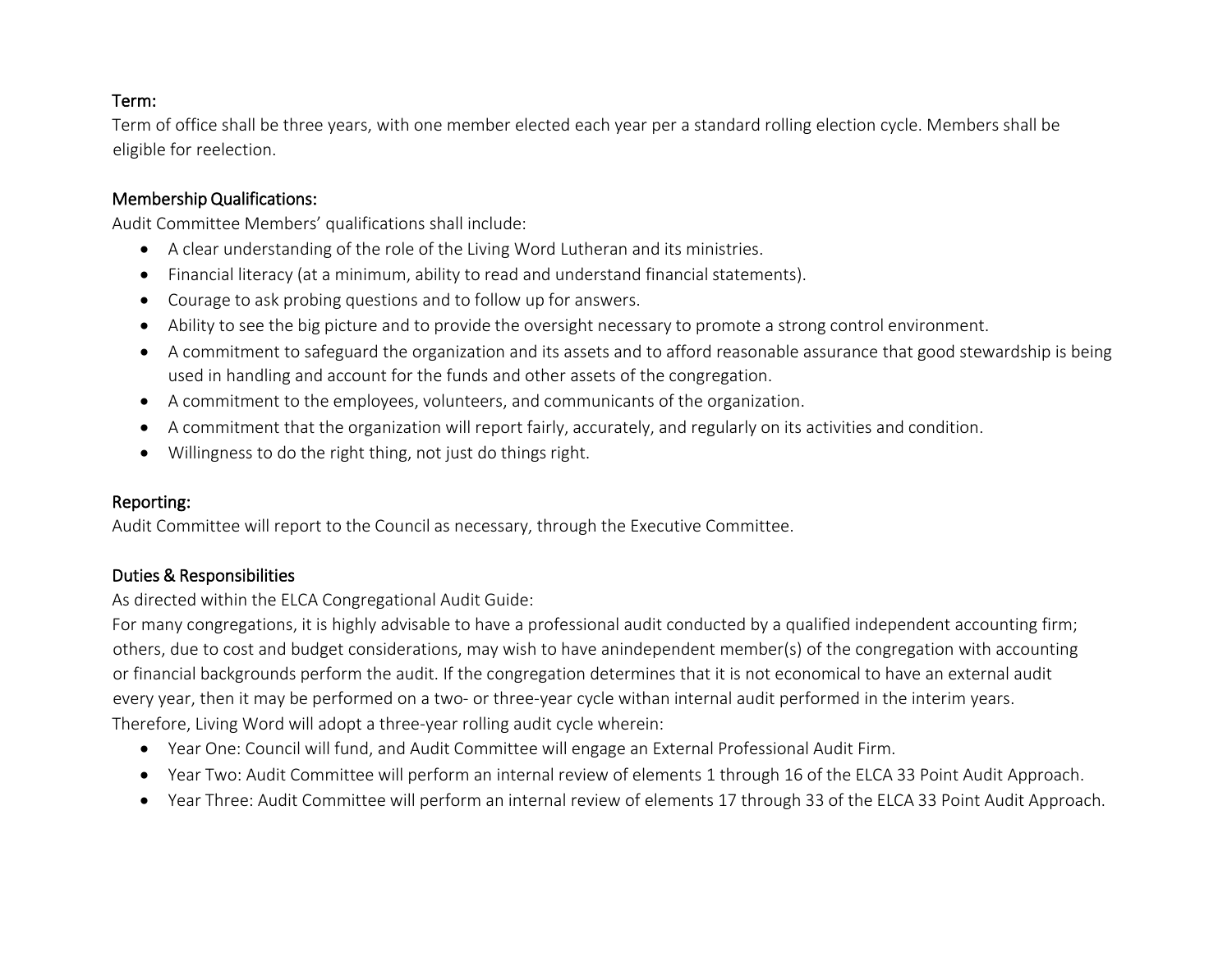## Term:

Term of office shall be three years, with one member elected each year per a standard rolling election cycle. Members shall be eligible for reelection.

#### Membership Qualifications:

Audit Committee Members' qualifications shall include:

- A clear understanding of the role of the Living Word Lutheran and its ministries.
- Financial literacy (at a minimum, ability to read and understand financial statements).
- Courage to ask probing questions and to follow up for answers.
- Ability to see the big picture and to provide the oversight necessary to promote a strong control environment.
- A commitment to safeguard the organization and its assets and to afford reasonable assurance that good stewardship is being used in handling and account for the funds and other assets of the congregation.
- A commitment to the employees, volunteers, and communicants of the organization.
- A commitment that the organization will report fairly, accurately, and regularly on its activities and condition.
- Willingness to do the right thing, not just do things right.

## Reporting:

Audit Committee will report to the Council as necessary, through the Executive Committee.

# Duties & Responsibilities

As directed within the ELCA Congregational Audit Guide:

For many congregations, it is highly advisable to have a professional audit conducted by a qualified independent accounting firm; others, due to cost and budget considerations, may wish to have anindependent member(s) of the congregation with accounting or financial backgrounds perform the audit. If the congregation determines that it is not economical to have an external audit every year, then it may be performed on a two- or three-year cycle withan internal audit performed in the interim years. Therefore, Living Word will adopt a three-year rolling audit cycle wherein:

- Year One: Council will fund, and Audit Committee will engage an External Professional Audit Firm.
- Year Two: Audit Committee will perform an internal review of elements 1 through 16 of the ELCA 33 Point Audit Approach.
- Year Three: Audit Committee will perform an internal review of elements 17 through 33 of the ELCA 33 Point Audit Approach.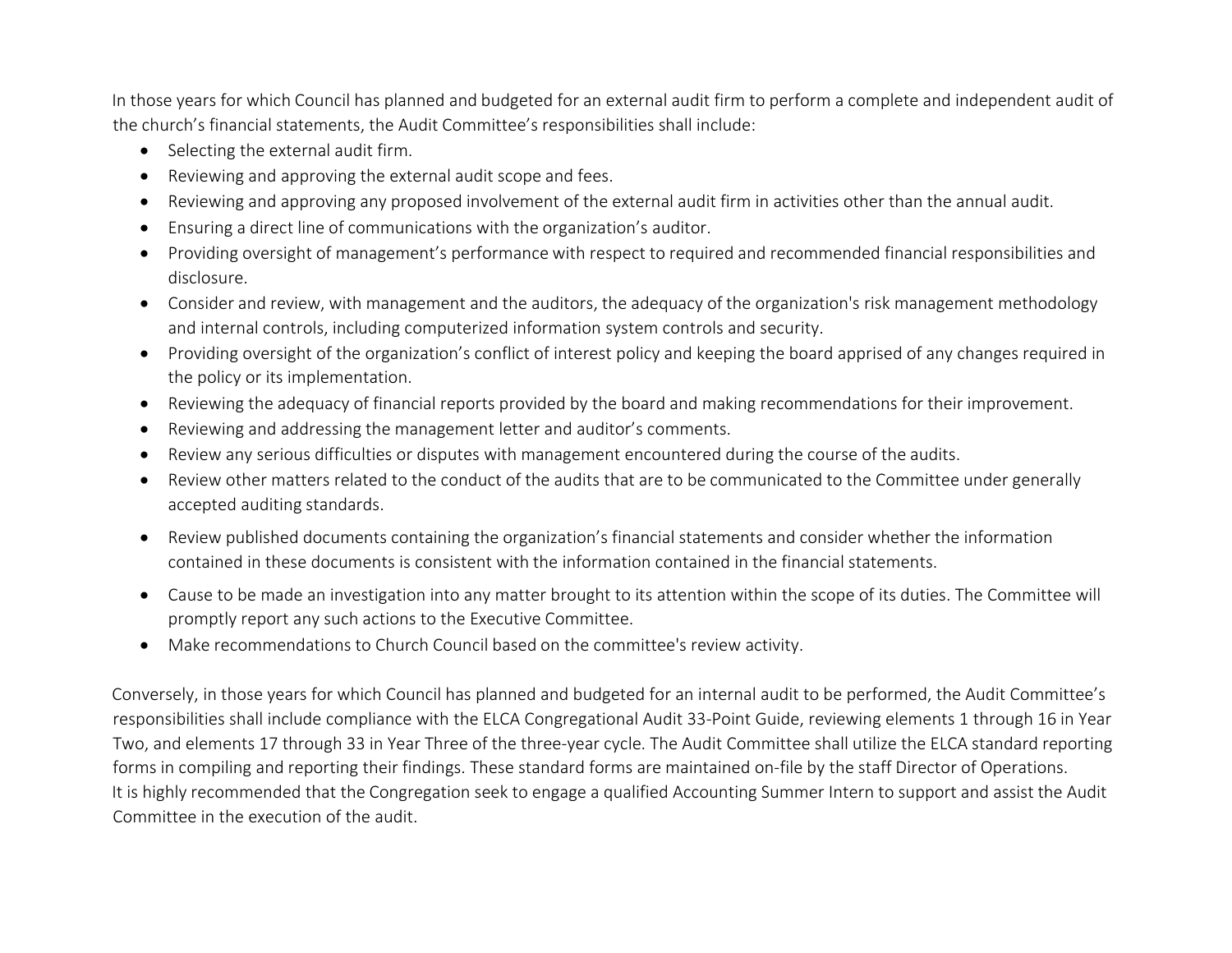In those years for which Council has planned and budgeted for an external audit firm to perform a complete and independent audit of the church's financial statements, the Audit Committee's responsibilities shall include:

- Selecting the external audit firm.
- Reviewing and approving the external audit scope and fees.
- Reviewing and approving any proposed involvement of the external audit firm in activities other than the annual audit.
- Ensuring a direct line of communications with the organization's auditor.
- Providing oversight of management's performance with respect to required and recommended financial responsibilities and disclosure.
- Consider and review, with management and the auditors, the adequacy of the organization's risk management methodology and internal controls, including computerized information system controls and security.
- Providing oversight of the organization's conflict of interest policy and keeping the board apprised of any changes required in the policy or its implementation.
- Reviewing the adequacy of financial reports provided by the board and making recommendations for their improvement.
- Reviewing and addressing the management letter and auditor's comments.
- Review any serious difficulties or disputes with management encountered during the course of the audits.
- Review other matters related to the conduct of the audits that are to be communicated to the Committee under generally accepted auditing standards.
- Review published documents containing the organization's financial statements and consider whether the information contained in these documents is consistent with the information contained in the financial statements.
- Cause to be made an investigation into any matter brought to its attention within the scope of its duties. The Committee will promptly report any such actions to the Executive Committee.
- Make recommendations to Church Council based on the committee's review activity.

Conversely, in those years for which Council has planned and budgeted for an internal audit to be performed, the Audit Committee's responsibilities shall include compliance with the ELCA Congregational Audit 33-Point Guide, reviewing elements 1 through 16 in Year Two, and elements 17 through 33 in Year Three of the three-year cycle. The Audit Committee shall utilize the ELCA standard reporting forms in compiling and reporting their findings. These standard forms are maintained on-file by the staff Director of Operations. It is highly recommended that the Congregation seek to engage a qualified Accounting Summer Intern to support and assist the Audit Committee in the execution of the audit.